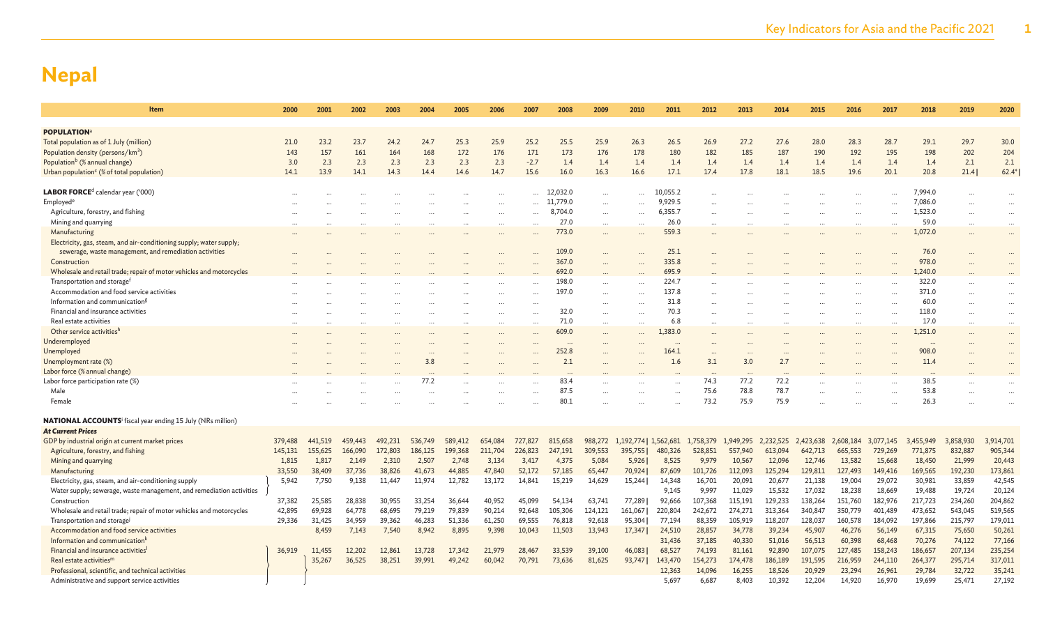| Item                                                                           | 2000    | 2001    | 2002    | 2003    | 2004    | 2005    | 2006     | 2007    | 2008     | 2009                 | 2010                  | 2011     | 2012      | 2013      | 2014      | 2015      | 2016      | 2017      | 2018      | 2019      | 2020      |
|--------------------------------------------------------------------------------|---------|---------|---------|---------|---------|---------|----------|---------|----------|----------------------|-----------------------|----------|-----------|-----------|-----------|-----------|-----------|-----------|-----------|-----------|-----------|
|                                                                                |         |         |         |         |         |         |          |         |          |                      |                       |          |           |           |           |           |           |           |           |           |           |
| <b>POPULATION</b> <sup>a</sup><br>Total population as of 1 July (million)      | 21.0    | 23.2    | 23.7    | 24.2    | 24.7    | 25.3    | 25.9     | 25.2    | 25.5     | 25.9                 | 26.3                  | 26.5     | 26.9      | 27.2      | 27.6      | 28.0      | 28.3      | 28.7      | 29.1      | 29.7      | 30.0      |
| Population density (persons/km <sup>2</sup> )                                  | 143     | 157     | 161     | 164     | 168     | 172     | 176      | 171     | 173      | 176                  | 178                   | 180      | 182       | 185       | 187       | 190       | 192       | 195       | 198       | 202       | 204       |
| Population <sup>b</sup> (% annual change)                                      | 3.0     | 2.3     | 2.3     | 2.3     | 2.3     | 2.3     | 2.3      | $-2.7$  | 1.4      | 1.4                  | 1.4                   | 1.4      | 1.4       | 1.4       | 1.4       | 1.4       | 1.4       | 1.4       | 1.4       | 2.1       | 2.1       |
| Urban population <sup>c</sup> (% of total population)                          | 14.1    | 13.9    | 14.1    | 14.3    | 14.4    | 14.6    | 14.7     | 15.6    | 16.0     | 16.3                 | 16.6                  | 17.1     | 17.4      | 17.8      | 18.1      | 18.5      | 19.6      | 20.1      | 20.8      | 21.4      | $62.4*$   |
|                                                                                |         |         |         |         |         |         |          |         |          |                      |                       |          |           |           |           |           |           |           |           |           |           |
| <b>LABOR FORCE</b> <sup>d</sup> calendar year ('000)                           |         |         |         |         |         |         |          |         | 12,032.0 |                      |                       | 10,055.2 |           |           |           |           |           |           | 7,994.0   |           | $\cdots$  |
| Employed <sup>e</sup>                                                          |         |         |         |         |         |         |          |         | 11.779.0 |                      |                       | 9,929.5  |           |           |           |           |           |           | 7,086.0   |           |           |
| Agriculture, forestry, and fishing                                             |         |         |         |         |         |         |          |         | 8,704.0  |                      |                       | 6,355.7  |           |           |           |           |           |           | 1,523.0   |           |           |
| Mining and quarrying                                                           |         |         |         |         |         |         | $\cdots$ |         | 27.0     | $\cdots$             |                       | 26.0     |           |           |           |           | $\cdots$  | $\cdots$  | 59.0      | $\cdots$  |           |
| Manufacturing                                                                  |         |         |         |         |         |         |          |         | 773.0    | $\cdots$             |                       | 559.3    |           |           |           |           |           |           | 1,072.0   |           | $\cdots$  |
| Electricity, gas, steam, and air-conditioning supply; water supply;            |         |         |         |         |         |         |          |         |          |                      |                       |          |           |           |           |           |           |           |           |           |           |
| sewerage, waste management, and remediation activities                         |         |         |         |         |         |         |          |         | 109.0    |                      |                       | 25.1     |           |           |           |           |           |           | 76.0      |           |           |
| Construction                                                                   |         |         |         |         |         |         |          |         | 367.0    |                      |                       | 335.8    |           |           |           |           |           |           | 978.0     |           |           |
| Wholesale and retail trade; repair of motor vehicles and motorcycles           |         |         |         |         |         |         |          |         | 692.0    |                      |                       | 695.9    |           |           |           |           |           |           | 1,240.0   |           |           |
| Transportation and storage <sup>f</sup>                                        |         |         |         |         |         |         |          |         | 198.0    |                      |                       | 224.7    |           |           |           |           |           |           | 322.0     |           |           |
| Accommodation and food service activities                                      |         |         |         |         |         |         |          |         | 197.0    | $\cdots$             |                       | 137.8    |           |           |           |           |           |           | 371.0     |           | $\ddotsc$ |
| Information and communication <sup>g</sup>                                     |         |         |         |         |         |         |          |         |          |                      |                       | 31.8     |           |           |           |           |           |           | 60.0      |           |           |
| Financial and insurance activities                                             |         |         |         |         |         |         |          |         | 32.0     |                      |                       | 70.3     |           |           |           |           |           |           | 118.0     |           |           |
| Real estate activities                                                         |         |         |         |         |         |         | $\cdots$ |         | 71.0     | $\cdots$             |                       | 6.8      |           |           |           |           |           | $\ddots$  | 17.0      | $\cdots$  | $\cdots$  |
| Other service activities <sup>h</sup>                                          |         |         |         |         |         |         |          |         | 609.0    | $\cdots$             |                       | 1,383.0  |           |           |           |           |           |           | 1,251.0   |           | $\cdots$  |
| Underemployed                                                                  |         |         |         |         |         |         |          |         | $\cdots$ | $\ddot{\phantom{a}}$ |                       | $\cdots$ |           |           |           |           |           |           | $\cdots$  |           |           |
| Unemployed                                                                     |         |         |         |         |         |         |          |         | 252.8    |                      |                       | 164.1    |           |           |           |           |           |           | 908.0     |           |           |
| Unemployment rate (%)                                                          |         |         |         |         | 3.8     |         |          |         | 2.1      |                      |                       | 1.6      | 3.1       | 3.0       | 2.7       |           |           |           | 11.4      |           |           |
| Labor force (% annual change)                                                  |         |         |         |         |         |         |          |         | $\cdots$ |                      |                       |          | $\cdots$  | $\cdots$  |           |           |           |           | $\cdots$  |           |           |
| Labor force participation rate (%)                                             |         |         |         |         | 77.2    |         |          |         | 83.4     |                      |                       |          | 74.3      | 77.2      | 72.2      |           |           |           | 38.5      |           |           |
| Male                                                                           |         |         |         |         |         |         |          |         | 87.5     |                      |                       |          | 75.6      | 78.8      | 78.7      |           |           |           | 53.8      |           |           |
| Female                                                                         |         |         |         |         |         |         |          |         | 80.1     |                      |                       |          | 73.2      | 75.9      | 75.9      |           |           |           | 26.3      |           |           |
|                                                                                |         |         |         |         |         |         |          |         |          |                      |                       |          |           |           |           |           |           |           |           |           |           |
| <b>NATIONAL ACCOUNTS</b> <sup>i</sup> fiscal year ending 15 July (NRs million) |         |         |         |         |         |         |          |         |          |                      |                       |          |           |           |           |           |           |           |           |           |           |
| <b>At Current Prices</b>                                                       |         |         |         |         |         |         |          |         |          |                      |                       |          |           |           |           |           |           |           |           |           |           |
| GDP by industrial origin at current market prices                              | 379,488 | 441,519 | 459,443 | 492,231 | 536,749 | 589,412 | 654,084  | 727,827 | 815,658  | 988,272              | 1,192,774   1,562,681 |          | 1,758,379 | 1,949,295 | 2,232,525 | 2,423,638 | 2,608,184 | 3,077,145 | 3,455,949 | 3,858,930 | 3,914,701 |
| Agriculture, forestry, and fishing                                             | 145,131 | 155,625 | 166,090 | 172,803 | 186,125 | 199,368 | 211,704  | 226,823 | 247,191  | 309,553              | 395,755               | 480,326  | 528,851   | 557,940   | 613.094   | 642.713   | 665,553   | 729,269   | 771,875   | 832,887   | 905,344   |
| Mining and quarrying                                                           | 1,815   | 1,817   | 2,149   | 2,310   | 2,507   | 2,748   | 3,134    | 3,417   | 4,375    | 5,084                | 5,926                 | 8,525    | 9,979     | 10,567    | 12,096    | 12,746    | 13,582    | 15,668    | 18,450    | 21,999    | 20,443    |
| Manufacturing                                                                  | 33,550  | 38,409  | 37,736  | 38,826  | 41,673  | 44,885  | 47,840   | 52,172  | 57,185   | 65,447               | 70,924                | 87,609   | 101,726   | 112,093   | 125,294   | 129,811   | 127,493   | 149,416   | 169,565   | 192,230   | 173,861   |
| Electricity, gas, steam, and air-conditioning supply                           | 5,942   | 7,750   | 9,138   | 11,447  | 11,974  | 12,782  | 13,172   | 14,841  | 15,219   | 14,629               | 15,244                | 14,348   | 16,701    | 20,091    | 20,677    | 21,138    | 19,004    | 29,072    | 30,981    | 33,859    | 42,545    |
| Water supply; sewerage, waste management, and remediation activities           |         |         |         |         |         |         |          |         |          |                      |                       | 9,145    | 9,997     | 11,029    | 15,532    | 17,032    | 18,238    | 18,669    | 19,488    | 19,724    | 20,124    |
| Construction                                                                   | 37,382  | 25,585  | 28,838  | 30,955  | 33,254  | 36,644  | 40,952   | 45,099  | 54,134   | 63,741               | 77,289                | 92,666   | 107,368   | 115,191   | 129,233   | 138,264   | 151,760   | 182,976   | 217,723   | 234,260   | 204,862   |
| Wholesale and retail trade; repair of motor vehicles and motorcycles           | 42,895  | 69,928  | 64,778  | 68,695  | 79,219  | 79,839  | 90,214   | 92,648  | 105,306  | 124,121              | 161,067               | 220,804  | 242,672   | 274,271   | 313,364   | 340,847   | 350,779   | 401,489   | 473,652   | 543,045   | 519,565   |
| Transportation and storage                                                     | 29,336  | 31,425  | 34,959  | 39,362  | 46,283  | 51,336  | 61,250   | 69,555  | 76,818   | 92,618               | 95,304                | 77,194   | 88,359    | 105,919   | 118,207   | 128,037   | 160,578   | 184,092   | 197,866   | 215,797   | 179,011   |
| Accommodation and food service activities                                      |         | 8,459   | 7,143   | 7,540   | 8,942   | 8,895   | 9,398    | 10,043  | 11,503   | 13,943               | 17,347                | 24,510   | 28,857    | 34,778    | 39,234    | 45,907    | 46,276    | 56,149    | 67,315    | 75,650    | 50,261    |
| Information and communication <sup>k</sup>                                     |         |         |         |         |         |         |          |         |          |                      |                       | 31,436   | 37,185    | 40,330    | 51,016    | 56,513    | 60,398    | 68,468    | 70,276    | 74,122    | 77,166    |
| Financial and insurance activities                                             | 36,919  | 11,455  | 12,202  | 12,861  | 13,728  | 17,342  | 21,979   | 28,467  | 33,539   | 39,100               | 46,083                | 68,527   | 74,193    | 81,161    | 92,890    | 107,075   | 127,485   | 158,243   | 186,657   | 207,134   | 235,254   |
| Real estate activities <sup>m</sup>                                            |         | 35,267  | 36,525  | 38,251  | 39,991  | 49.242  | 60,042   | 70,791  | 73,636   | 81,625               | 93,747                | 143,470  | 154,273   | 174,478   | 186,189   | 191,595   | 216,959   | 244,110   | 264,377   | 295,714   | 317,011   |
| Professional, scientific, and technical activities                             |         |         |         |         |         |         |          |         |          |                      |                       | 12,363   | 14,096    | 16,255    | 18,526    | 20,929    | 23,294    | 26,961    | 29,784    | 32,722    | 35,241    |
| Administrative and support service activities                                  |         |         |         |         |         |         |          |         |          |                      |                       | 5,697    | 6,687     | 8,403     | 10,392    | 12,204    | 14,920    | 16,970    | 19,699    | 25,471    | 27,192    |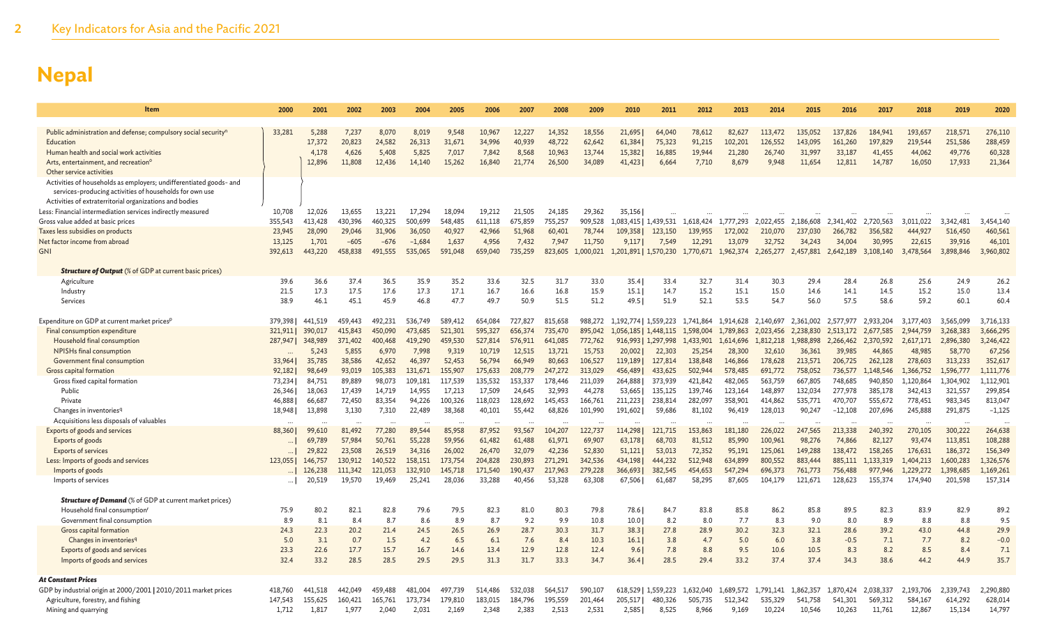| Item                                                                       | 2000              | 2001               | 2002               | 2003               | 2004               | 2005               | 2006               | 2007               | 2008               | 2009               | 2010                             | 2011                | 2012               | 2013                 | 2014                 | 2015                 | 2016                 | 2017                 | 2018                   | 2019                   | 2020                 |
|----------------------------------------------------------------------------|-------------------|--------------------|--------------------|--------------------|--------------------|--------------------|--------------------|--------------------|--------------------|--------------------|----------------------------------|---------------------|--------------------|----------------------|----------------------|----------------------|----------------------|----------------------|------------------------|------------------------|----------------------|
|                                                                            |                   |                    |                    |                    |                    |                    |                    |                    |                    |                    |                                  |                     |                    |                      |                      |                      |                      |                      |                        |                        |                      |
| Public administration and defense; compulsory social security <sup>n</sup> | 33,281            | 5,288              | 7,237              | 8,070              | 8,019              | 9,548              | 10,967             | 12,227             | 14,352             | 18,556             | 21,695                           | 64,040              | 78,612             | 82,627               | 113,472              | 135,052              | 137,826              | 184,941              | 193,657                | 218,571                | 276,110              |
| Education                                                                  |                   | 17,372             | 20,823             | 24,582             | 26,313             | 31,671             | 34,996             | 40,939             | 48,722             | 62,642             | 61,384                           | 75,323              | 91,215             | 102,201              | 126,552              | 143,095              | 161,260              | 197,829              | 219,544                | 251,586                | 288,459              |
| Human health and social work activities                                    |                   | 4,178              | 4,626              | 5,408              | 5,825              | 7,017              | 7,842              | 8,568              | 10,963             | 13,744             | 15,382                           | 16,885              | 19,944             | 21,280               | 26,740               | 31,997               | 33,187               | 41,455               | 44,062                 | 49,776                 | 60,328               |
| Arts, entertainment, and recreation <sup>o</sup>                           |                   | 12,896             | 11,808             | 12,436             | 14,140             | 15,262             | 16,840             | 21,774             | 26,500             | 34,089             | 41,423                           | 6,664               | 7,710              | 8,679                | 9,948                | 11,654               | 12,811               | 14,787               | 16,050                 | 17,933                 | 21,364               |
| Other service activities                                                   |                   |                    |                    |                    |                    |                    |                    |                    |                    |                    |                                  |                     |                    |                      |                      |                      |                      |                      |                        |                        |                      |
| Activities of households as employers; undifferentiated goods- and         |                   |                    |                    |                    |                    |                    |                    |                    |                    |                    |                                  |                     |                    |                      |                      |                      |                      |                      |                        |                        |                      |
| services-producing activities of households for own use                    |                   |                    |                    |                    |                    |                    |                    |                    |                    |                    |                                  |                     |                    |                      |                      |                      |                      |                      |                        |                        |                      |
| Activities of extraterritorial organizations and bodies                    |                   |                    |                    |                    |                    |                    |                    |                    |                    |                    |                                  |                     |                    |                      |                      |                      |                      |                      |                        |                        |                      |
| Less: Financial intermediation services indirectly measured                | 10,708            | 12,026             | 13,655             | 13.221             | 17.294             | 18,094             | 19.212             | 21.505             | 24.185             | 29,362             | 35,156                           |                     |                    |                      |                      |                      |                      |                      |                        |                        |                      |
| Gross value added at basic prices<br>Taxes less subsidies on products      | 355,543<br>23,945 | 413,428<br>28,090  | 430,396<br>29,046  | 460,325<br>31,906  | 500,699<br>36,050  | 548,485<br>40,927  | 611,118<br>42,966  | 675,859<br>51,968  | 755,257<br>60,401  | 909,528<br>78,744  | 1,083,415   1,439,531<br>109,358 | 123,150             | 1,618,424          | 1,777,293<br>172,002 | 2,022,455<br>210,070 | 2,186,608<br>237,030 | 2,341,402<br>266,782 | 2,720,563<br>356,582 | 3,011,022<br>444,927   | 3,342,481<br>516,450   | 3,454,140<br>460,561 |
| Net factor income from abroad                                              | 13,125            | 1,701              | $-605$             | $-676$             | $-1,684$           | 1,637              | 4,956              | 7,432              | 7,947              | 11,750             | 9,117                            | 7,549               | 139,955<br>12,291  | 13,079               | 32,752               | 34,243               | 34,004               | 30,995               | 22,615                 | 39,916                 | 46,101               |
| <b>GNI</b>                                                                 | 392,613           | 443,220            | 458,838            | 491,555            | 535,065            | 591,048            | 659,040            | 735,259            | 823,605            | 1,000,021          | 1,201,891   1,570,230            |                     | 1,770,671          | 1,962,374            | 2,265,277            | 2,457,881            | 2,642,189            | 3,108,140            | 3,478,564              | 3,898,846              | 3,960,802            |
|                                                                            |                   |                    |                    |                    |                    |                    |                    |                    |                    |                    |                                  |                     |                    |                      |                      |                      |                      |                      |                        |                        |                      |
| <b>Structure of Output</b> (% of GDP at current basic prices)              |                   |                    |                    |                    |                    |                    |                    |                    |                    |                    |                                  |                     |                    |                      |                      |                      |                      |                      |                        |                        |                      |
| Agriculture                                                                | 39.6              | 36.6               | 37.4               | 36.5               | 35.9               | 35.2               | 33.6               | 32.5               | 31.7               | 33.0               | 35.4                             | 33.4                | 32.7               | 31.4                 | 30.3                 | 29.4                 | 28.4                 | 26.8                 | 25.6                   | 24.9                   | 26.2                 |
| Industry                                                                   | 21.5              | 17.3               | 17.5               | 17.6               | 17.3               | 17.1               | 16.7               | 16.6               | 16.8               | 15.9               | 15.1                             | 14.7                | 15.2               | 15.1                 | 15.0                 | 14.6                 | 14.1                 | 14.5                 | 15.2                   | 15.0                   | 13.4                 |
| Services                                                                   | 38.9              | 46.1               | 45.1               | 45.9               | 46.8               | 47.7               | 49.7               | 50.9               | 51.5               | 51.2               | 49.5                             | 51.9                | 52.1               | 53.5                 | 54.7                 | 56.0                 | 57.5                 | 58.6                 | 59.2                   | 60.1                   | 60.4                 |
|                                                                            |                   |                    |                    |                    |                    |                    |                    |                    |                    |                    |                                  |                     |                    |                      |                      |                      |                      |                      |                        |                        |                      |
| Expenditure on GDP at current market prices <sup>p</sup>                   | 379,398           | 441,519            | 459,443            | 492.231            | 536,749            | 589,412            | 654.084            | 727,827            | 815,658            | 988,272            | 1,192,774   1,559,223            |                     | 1,741,864          | 1,914,628            | 2,140,697            | 2.361.002            | 2,577,977            | 2,933,204            | 3,177,403              | 3,565,099              | 3,716,133            |
| Final consumption expenditure                                              | 321,911           | 390,017            | 415,843            | 450,090            | 473,685            | 521,301            | 595,327            | 656,374            | 735,470            | 895,042            | 1,056,185                        | 1,448,115           | 1,598,004          | 1,789,863            | 2,023,456            | 2.238,830            | 2.513.172            | 2.677.585            | 2,944,759              | 3,268,383              | 3,666,295            |
| Household final consumption                                                | 287,947           | 348,989            | 371,402            | 400,468            | 419,290            | 459,530            | 527,814            | 576,911            | 641,085            | 772,762            |                                  | 916,993   1,297,998 | 1,433,901          | 1,614,696            | 1,812,218            | 1.988.898            | 2,266,462            | 2,370,592            | 2,617,171              | 2,896,380              | 3,246,422            |
| <b>NPISHs final consumption</b>                                            |                   | 5,243              | 5,855              | 6,970              | 7,998              | 9,319              | 10,719             | 12,515             | 13,721             | 15,753             | 20,002                           | 22,303              | 25,254             | 28,300               | 32,610               | 36,361               | 39,985               | 44,865               | 48,985                 | 58,770                 | 67,256               |
| Government final consumption                                               | 33,964            | 35,785             | 38,586             | 42,652             | 46,397             | 52,453             | 56,794             | 66,949             | 80,663             | 106,527            | 119,189                          | 127,814             | 138,848            | 146,866              | 178,628              | 213,571              | 206,725              | 262,128              | 278,603                | 313,233                | 352,617              |
| Gross capital formation                                                    | 92,182            | 98,649             | 93,019             | 105,383            | 131,671            | 155,907            | 175,633            | 208,779            | 247,272            | 313,029            | 456,489                          | 433,625             | 502,944            | 578,485              | 691,772              | 758,052              | 736,577              | 1,148,546            | 1,366,752              | 1,596,777              | 1,111,776            |
| Gross fixed capital formation                                              | 73,234            | 84,751             | 89,889             | 98,073             | 109,181            | 117,539            | 135,532            | 153,337            | 178,446            | 211,039            | 264,888                          | 373,939             | 421,842            | 482,065              | 563,759              | 667,805              | 748,685              | 940,850              | 1,120,864              | 1,304,902              | 1,112,901            |
| Public                                                                     | 26,346            | 18,063             | 17,439             | 14,719             | 14,955             | 17.213             | 17,509             | 24,645             | 32,993             | 44,278             | 53,665                           | 135,125             | 139,746            | 123,164              | 148,897              | 132,034              | 277,978              | 385,178              | 342,413                | 321,557                | 299,854              |
| Private                                                                    | 46,888            | 66,687             | 72,450             | 83,354             | 94,226             | 100,326            | 118,023            | 128,692            | 145,453            | 166,761            | 211,223                          | 238,814             | 282,097            | 358,901              | 414,862              | 535,771              | 470,707              | 555,672              | 778,451                | 983,345                | 813,047              |
| Changes in inventories <sup>q</sup>                                        | 18,948            | 13,898             | 3,130              | 7,310              | 22,489             | 38,368             | 40,101             | 55,442             | 68,826             | 101,990            | 191,602                          | 59,686              | 81,102             | 96,419               | 128,013              | 90,247               | $-12,108$            | 207,696              | 245,888                | 291,875                | $-1,125$             |
| Acquisitions less disposals of valuables                                   |                   |                    |                    |                    |                    | $\ddots$           |                    |                    |                    |                    |                                  |                     |                    |                      |                      |                      |                      |                      |                        |                        |                      |
| Exports of goods and services                                              | 88,360            | 99,610             | 81,492             | 77,280             | 89,544             | 85,958             | 87,952             | 93.567             | 104,207            | 122,737            | 114,298                          | 121,715             | 153,863            | 181,180              | 226,022              | 247,565              | 213,338              | 240,392              | 270,105                | 300,222                | 264,638              |
| Exports of goods                                                           | $\cdots$          | 69,789             | 57,984             | 50,761             | 55,228             | 59,956             | 61,482             | 61,488             | 61,971             | 69,907             | 63,178                           | 68,703              | 81,512             | 85,990               | 100,961              | 98,276               | 74,866               | 82,127               | 93,474                 | 113,851                | 108,288              |
| <b>Exports of services</b>                                                 | $\cdots$          | 29,822             | 23,508             | 26,519             | 34,316             | 26,002             | 26,470             | 32,079             | 42,236             | 52,830             | 51,121                           | 53,013              | 72,352             | 95,191               | 125,061              | 149,288<br>883,444   | 138,472              | 158,265              | 176,631                | 186,372                | 156,349<br>1,326,576 |
| Less: Imports of goods and services<br>Imports of goods                    | 123,055           | 146,757<br>126,238 | 130,912<br>111,342 | 140,522<br>121,053 | 158,151<br>132,910 | 173,754<br>145,718 | 204,828<br>171,540 | 230,893<br>190,437 | 271,291<br>217,963 | 342,536<br>279,228 | 434,198<br>366,693               | 444,232<br>382,545  | 512,948<br>454,653 | 634,899<br>547,294   | 800,552<br>696,373   | 761,773              | 885,111<br>756,488   | 1,133,319<br>977,946 | 1,404,213<br>1,229,272 | 1,600,283<br>1,398,685 | 1,169,261            |
| Imports of services                                                        | $\ldots$          | 20,519             | 19,570             | 19.469             | 25,241             | 28.036             | 33,288             | 40.456             | 53.328             | 63,308             | 67,506                           | 61,687              | 58.295             | 87,605               | 104.179              | 121,671              | 128,623              | 155,374              | 174,940                | 201,598                | 157,314              |
|                                                                            |                   |                    |                    |                    |                    |                    |                    |                    |                    |                    |                                  |                     |                    |                      |                      |                      |                      |                      |                        |                        |                      |
| <b>Structure of Demand</b> (% of GDP at current market prices)             |                   |                    |                    |                    |                    |                    |                    |                    |                    |                    |                                  |                     |                    |                      |                      |                      |                      |                      |                        |                        |                      |
| Household final consumption <sup>1</sup>                                   | 75.9              | 80.2               | 82.1               | 82.8               | 79.6               | 79.5               | 82.3               | 81.0               | 80.3               | 79.8               | 78.6                             | 84.7                | 83.8               | 85.8                 | 86.2                 | 85.8                 | 89.5                 | 82.3                 | 83.9                   | 82.9                   | 89.2                 |
| Government final consumption                                               | 8.9               | 8.1                | 8.4                | 8.7                | 8.6                | 8.9                | 8.7                | 9.2                | 9.9                | 10.8               | 10.0                             | 8.2                 | 8.0                | 7.7                  | 8.3                  | 9.0                  | 8.0                  | 8.9                  | 8.8                    | 8.8                    | 9.5                  |
| Gross capital formation                                                    | 24.3              | 22.3               | 20.2               | 21.4               | 24.5               | 26.5               | 26.9               | 28.7               | 30.3               | 31.7               | 38.3                             | 27.8                | 28.9               | 30.2                 | 32.3                 | 32.1                 | 28.6                 | 39.2                 | 43.0                   | 44.8                   | 29.9                 |
| Changes in inventories <sup>q</sup>                                        | 5.0               | 3.1                | 0.7                | 1.5                | 4.2                | 6.5                | 6.1                | 7.6                | 8.4                | 10.3               | 16.1                             | 3.8                 | 4.7                | 5.0                  | 6.0                  | 3.8                  | $-0.5$               | 7.1                  | 7.7                    | 8.2                    | $-0.0$               |
| Exports of goods and services                                              | 23.3              | 22.6               | 17.7               | 15.7               | 16.7               | 14.6               | 13.4               | 12.9               | 12.8               | 12.4               | 9.6                              | 7.8                 | 8.8                | 9.5                  | 10.6                 | 10.5                 | 8.3                  | 8.2                  | 8.5                    | 8.4                    | 7.1                  |
| Imports of goods and services                                              | 32.4              | 33.2               | 28.5               | 28.5               | 29.5               | 29.5               | 31.3               | 31.7               | 33.3               | 34.7               | 36.4                             | 28.5                | 29.4               | 33.2                 | 37.4                 | 37.4                 | 34.3                 | 38.6                 | 44.2                   | 44.9                   | 35.7                 |
|                                                                            |                   |                    |                    |                    |                    |                    |                    |                    |                    |                    |                                  |                     |                    |                      |                      |                      |                      |                      |                        |                        |                      |
| <b>At Constant Prices</b>                                                  |                   |                    |                    |                    |                    |                    |                    |                    |                    |                    |                                  |                     |                    |                      |                      |                      |                      |                      |                        |                        |                      |
| GDP by industrial origin at 2000/2001   2010/2011 market prices            | 418,760           | 441,518            | 442.049            | 459,488            | 481.004            | 497,739            | 514,486            | 532.038            | 564,517            | 590,107            |                                  | 618,529   1,559,223 | 1,632,040          | 1,689,572            | 1.791.141            | 1,862,357            | 1,870,424            | 2,038,337            | 2,193,706              | 2,339,743              | 2,290,880            |
| Agriculture, forestry, and fishing                                         | 147.543           | 155,625            | 160,421            | 165,761            | 173,734            | 179,810            | 183,015            | 184.796            | 195,559            | 201,464            | 205,517                          | 480,326             | 505,735            | 512,342              | 535,329              | 541.758              | 541,301              | 569,312              | 584,167                | 614,292                | 628,014              |
| Mining and quarrying                                                       | 1,712             | 1,817              | 1,977              | 2,040              | 2,031              | 2,169              | 2,348              | 2,383              | 2,513              | 2,531              | 2,585                            | 8,525               | 8,966              | 9,169                | 10,224               | 10,546               | 10,263               | 11,761               | 12,867                 | 15,134                 | 14,797               |
|                                                                            |                   |                    |                    |                    |                    |                    |                    |                    |                    |                    |                                  |                     |                    |                      |                      |                      |                      |                      |                        |                        |                      |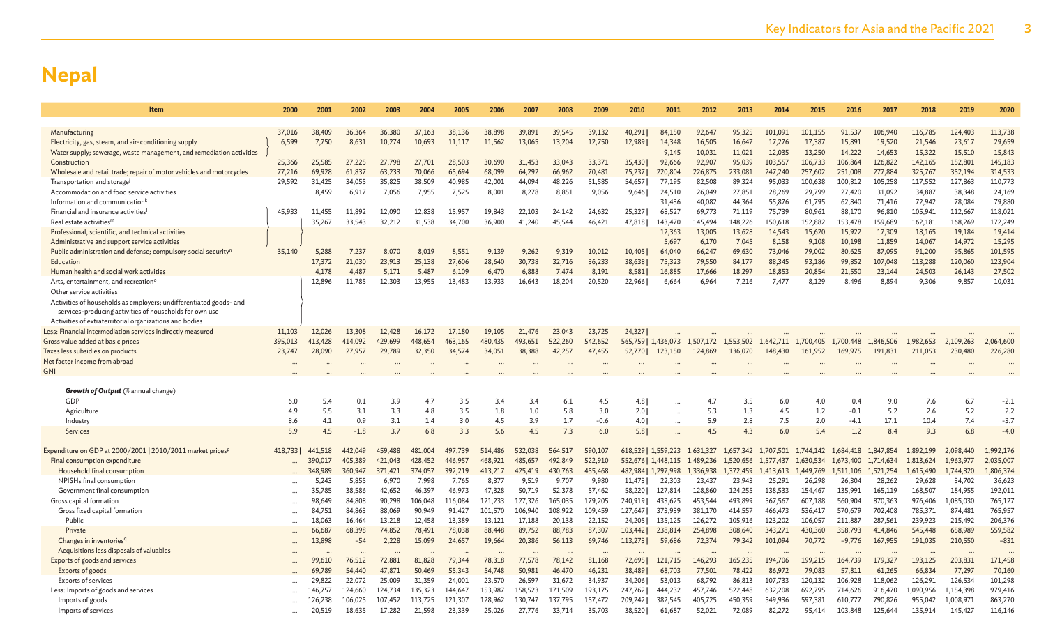| Item                                                                                                                          | 2000      | 2001    | 2002            | 2003            | 2004    | 2005    | 2006    | 2007      | 2008             | 2009             | 2010    | 2011                | 2012            | 2013              | 2014            | 2015            | 2016             | 2017               | 2018             | 2019             | 2020              |
|-------------------------------------------------------------------------------------------------------------------------------|-----------|---------|-----------------|-----------------|---------|---------|---------|-----------|------------------|------------------|---------|---------------------|-----------------|-------------------|-----------------|-----------------|------------------|--------------------|------------------|------------------|-------------------|
|                                                                                                                               |           |         |                 |                 |         |         |         |           |                  |                  |         |                     |                 |                   |                 |                 |                  |                    |                  |                  |                   |
| Manufacturing                                                                                                                 | 37,016    | 38,409  | 36,364          | 36,380          | 37,163  | 38,136  | 38,898  | 39.891    | 39,545           | 39,132           | 40,291  | 84,150              | 92.647          | 95,325            | 101.091         | 101.155         | 91,537           | 106,940            | 116,785          | 124,403          | 113,738           |
| Electricity, gas, steam, and air-conditioning supply                                                                          | 6.599     | 7.750   | 8,631           | 10,274          | 10,693  | 11,117  | 11,562  | 13,065    | 13,204           | 12,750           | 12,989  | 14,348              | 16,505          | 16,647            | 17,276          | 17,387          | 15,891           | 19,520             | 21,546           | 23,617           | 29,659            |
| Water supply; sewerage, waste management, and remediation activities                                                          |           |         |                 |                 |         |         |         |           |                  |                  |         | 9,145               | 10,031          | 11,021            | 12,035          | 13,250          | 14,222           | 14,653             | 15,322           | 15,510           | 15,843            |
| Construction                                                                                                                  | 25,366    | 25,585  | 27,225          | 27,798          | 27,701  | 28,503  | 30,690  | 31,453    | 33,043           | 33,371           | 35,430  | 92,666              | 92,907          | 95,039            | 103,557         | 106,733         | 106,864          | 126,822            | 142,165          | 152,801          | 145,183           |
| Wholesale and retail trade; repair of motor vehicles and motorcycles                                                          | 77,216    | 69,928  | 61,837          | 63,233          | 70,066  | 65,694  | 68,099  | 64,292    | 66,962           | 70,481           | 75,237  | 220,804             | 226,875         | 233,081           | 247,240         | 257,602         | 251,008          | 277,884            | 325,767          | 352,194          | 314,533           |
| Transportation and storage                                                                                                    | 29.592    | 31,425  | 34,055          | 35,825          | 38,509  | 40,985  | 42,001  | 44,094    | 48,226           | 51,585           | 54,657  | 77,195              | 82,508          | 89,324            | 95,033          | 100,638         | 100,812          | 105,258            | 117,552          | 127,863          | 110,773           |
| Accommodation and food service activities                                                                                     |           | 8.459   | 6.917           | 7,056           | 7.955   | 7,525   | 8,001   | 8,278     | 8.851            | 9,056            | 9,646   | 24,510              | 26,049          | 27,851            | 28,269          | 29,799          | 27,420           | 31,092             | 34,887           | 38,348           | 24,169            |
| Information and communication <sup>k</sup>                                                                                    |           |         |                 |                 |         |         |         |           |                  |                  |         | 31,436              | 40,082          | 44,364            | 55,876          | 61,795          | 62,840           | 71,416             | 72,942           | 78,084           | 79,880            |
| Financial and insurance activities                                                                                            | 45.933    | 11,455  | 11,892          | 12,090          | 12,838  | 15,957  | 19,843  | 22,103    | 24,142           | 24,632           | 25,327  | 68,527              | 69,773          | 71,119            | 75,739          | 80,961          | 88,170           | 96,810             | 105,941          | 112,667          | 118,021           |
| Real estate activities <sup>m</sup>                                                                                           |           | 35,267  | 33,543          | 32,212          | 31,538  | 34,700  | 36,900  | 41,240    | 45,544           | 46,421           | 47,818  | 143,470             | 145,494         | 148,226           | 150,618         | 152,882         | 153,478          | 159,689            | 162,181          | 168,269          | 172,249           |
| Professional, scientific, and technical activities<br>Administrative and support service activities                           |           |         |                 |                 |         |         |         |           |                  |                  |         | 12,363<br>5,697     | 13,005<br>6,170 | 13,628<br>7,045   | 14,543<br>8,158 | 15,620<br>9,108 | 15,922<br>10,198 | 17,309<br>11,859   | 18,165<br>14,067 | 19,184<br>14,972 | 19,414<br>15,295  |
| Public administration and defense; compulsory social security <sup>n</sup>                                                    | 35,140    | 5,288   | 7,237           | 8,070           | 8,019   | 8,551   | 9,139   | 9,262     | 9,319            | 10,012           | 10,405  | 64,040              | 66,247          | 69,630            | 73,046          | 79,002          | 80,625           | 87,095             | 91,200           | 95,865           | 101,595           |
| Educatior                                                                                                                     |           | 17,372  | 21,030          | 23,913          | 25,138  | 27,606  | 28,640  | 30,738    | 32,716           | 36,233           | 38,638  | 75,323              | 79,550          | 84,177            | 88,345          | 93,186          | 99,852           | 107,048            | 113,288          | 120,060          | 123,904           |
| Human health and social work activities                                                                                       |           | 4,178   | 4,487           | 5,171           | 5,487   | 6,109   | 6,470   | 6,888     | 7,474            | 8,191            | 8,581   | 16,885              | 17,666          | 18,297            | 18,853          | 20,854          | 21,550           | 23,144             | 24,503           | 26,143           | 27,502            |
| Arts, entertainment, and recreation <sup>o</sup>                                                                              |           | 12,896  | 11.785          | 12.303          | 13.955  | 13.483  | 13.933  | 16.643    | 18,204           | 20,520           | 22,966  | 6.664               | 6.964           | 7,216             | 7,477           | 8.129           | 8.496            | 8.894              | 9.306            | 9,857            | 10,031            |
| Other service activities                                                                                                      |           |         |                 |                 |         |         |         |           |                  |                  |         |                     |                 |                   |                 |                 |                  |                    |                  |                  |                   |
| Activities of households as employers; undifferentiated goods- and<br>services-producing activities of households for own use |           |         |                 |                 |         |         |         |           |                  |                  |         |                     |                 |                   |                 |                 |                  |                    |                  |                  |                   |
| Activities of extraterritorial organizations and bodies                                                                       |           |         |                 |                 |         |         |         |           |                  |                  |         |                     |                 |                   |                 |                 |                  |                    |                  |                  |                   |
| Less: Financial intermediation services indirectly measured                                                                   | 11.103    | 12,026  | 13,308          | 12,428          | 16,172  | 17,180  | 19,105  | 21,476    | 23,043           | 23,725           | 24,327  |                     |                 |                   |                 |                 |                  |                    |                  |                  |                   |
| Gross value added at basic prices                                                                                             | 395.013   | 413,428 | 414.092         | 429.699         | 448,654 | 463.165 | 480,435 | 493.651   | 522,260          | 542,652          |         | 565,759   1,436,073 | 1,507,172       | 1.553.502         | 1.642.711       | 1.700,405       | 1,700,448        | 1.846,506          | 1.982.653        | 2,109,263        | 2,064,600         |
| Taxes less subsidies on products                                                                                              | 23,747    | 28,090  | 27,957          | 29,789          | 32,350  | 34,574  | 34,051  | 38,388    | 42,257           | 47,455           | 52,770  | 123,150             | 124,869         | 136,070           | 148,430         | 161,952         | 169,975          | 191,831            | 211,053          | 230,480          | 226,280           |
| Net factor income from abroad                                                                                                 |           |         |                 |                 |         |         |         | $\ddotsc$ |                  |                  |         |                     |                 |                   |                 |                 |                  |                    |                  |                  |                   |
| <b>GNI</b>                                                                                                                    |           |         |                 |                 |         |         |         |           |                  |                  |         |                     |                 |                   |                 |                 |                  |                    |                  |                  |                   |
| <b>Growth of Output</b> (% annual change)                                                                                     |           |         |                 |                 |         |         |         |           |                  |                  |         |                     |                 |                   |                 |                 |                  |                    |                  |                  |                   |
| GDP                                                                                                                           | 6.0       | 5.4     | 0.1             | 3.9             | 4.7     | 3.5     | 3.4     | 3.4       | 6.1              | 4.5              | 4.8     |                     | 4.7             | 3.5               | 6.0             | 4.0             | 0.4              | 9.0                | 7.6              | 6.7              | $-2.1$            |
| Agriculture                                                                                                                   | 4.9       | 5.5     | 3.1             | 3.3             | 4.8     | 3.5     | 1.8     | 1.0       | 5.8              | 3.0              | 2.01    |                     | 5.3             | 1.3               | 4.5             | 1.2             | $-0.1$           | 5.2                | 2.6              | 5.2              | 2.2               |
| Industry                                                                                                                      | 8.6       | 4.1     | 0.9             | 3.1             | 1.4     | 3.0     | 4.5     | 3.9       | 1.7              | $-0.6$           | 4.01    | $\cdots$            | 5.9             | 2.8               | 7.5             | 2.0             | $-4.1$           | 17.1               | 10.4             | 7.4              | $-3.7$            |
| Services                                                                                                                      | 5.9       | 4.5     | $-1.8$          | 3.7             | 6.8     | 3.3     | 5.6     | 4.5       | 7.3              | 6.0              | 5.8     |                     | 4.5             | 4.3               | 6.0             | 5.4             | 1.2              | 8.4                | 9.3              | 6.8              | $-4.0$            |
|                                                                                                                               |           |         |                 |                 |         |         |         |           |                  |                  |         |                     |                 |                   |                 |                 |                  |                    |                  |                  |                   |
| Expenditure on GDP at 2000/2001   2010/2011 market prices <sup>p</sup>                                                        | 418,733   | 441,518 | 442,049         | 459,488         | 481,004 | 497,739 | 514,486 | 532,038   | 564,517          | 590,107          |         | 618,529   1,559,223 | 1,631,327       | 1,657,342         | 1,707,501       | 1,744,142       | 1,684,418        | 1,847,854          | 1,892,199        | 2,098,440        | 1,992,176         |
| Final consumption expenditure                                                                                                 |           | 390,017 | 405,389         | 421,043         | 428,452 | 446,957 | 468,921 | 485,657   | 492,849          | 522,910          |         | 552,676   1,448,115 | 1,489,236       | 1,520,656         | 1,577,437       | 1,630,534       | 1,673,400        | 1,714,634          | 1,813,624        | 1,963,977        | 2,035,007         |
| Household final consumption                                                                                                   |           | 348,989 | 360,947         | 371.421         | 374,057 | 392,219 | 413,217 | 425.419   | 430,763          | 455,468          |         | 482,984   1,297,998 | 1.336.938       | 1.372,459         | 1,413,613       | 449,769         | 1.511.106        | 1,521,254          | 1,615,490        | 1,744,320        | 1,806,374         |
| NPISHs final consumption                                                                                                      | $\cdots$  | 5,243   | 5,855           | 6,970           | 7,998   | 7,765   | 8,377   | 9,519     | 9,707            | 9,980            | 11,473  | 22,303              | 23,437          | 23,943            | 25,291          | 26,298          | 26,304           | 28,262             | 29.628           | 34,702           | 36,623            |
| Government final consumption                                                                                                  | $\cdots$  | 35,785  | 38,586          | 42,652          | 46,397  | 46,973  | 47,328  | 50,719    | 52,378           | 57,462           | 58,220  | 127,814             | 128,860         | 124,255           | 138,533         | 154,467         | 135,991          | 165,119            | 168,507          | 184,955          | 192,011           |
| Gross capital formation                                                                                                       | $\ddotsc$ | 98,649  | 84,808          | 90,298          | 106,048 | 116,084 | 121,233 | 127,326   | 165,035          | 179,205          | 240,919 | 433,625             | 453,544         | 493,899           | 567,567         | 607,188         | 560,904          | 870,363            | 976,406          | 1,085,030        | 765,127           |
| Gross fixed capital formation                                                                                                 |           | 84,751  | 84,863          | 88,069          | 90,949  | 91,427  | 101,570 | 106,940   | 108,922          | 109,459          | 127,647 | 373,939             | 381,170         | 414,557           | 466,473         | 536,417         | 570,679          | 702,408            | 785,371          | 874,481          | 765,957           |
| Public                                                                                                                        |           | 18,063  | 16,464          | 13,218          | 12,458  | 13,389  | 13,121  | 17,188    | 20,138           | 22,152           | 24,205  | 135,125             | 126,272         | 105,916           | 123,202         | 106,057         | 211,887          | 287,561            | 239,923          | 215,492          | 206,376           |
| Private                                                                                                                       |           | 66,687  | 68,398<br>$-54$ | 74,852<br>2.228 | 78,491  | 78,038  | 88,448  | 89,752    | 88,783<br>56,113 | 87,307<br>69,746 | 103,442 | 238,814<br>59,686   | 254,898         | 308,640<br>79.342 | 343,271         | 430,360         | 358,793          | 414,846<br>167,955 | 545,448          | 658,989          | 559,582<br>$-831$ |
| Changes in inventories <sup>q</sup><br>Acquisitions less disposals of valuables                                               |           | 13,898  |                 |                 | 15,099  | 24,657  | 19.664  | 20,386    |                  |                  | 113,273 |                     | 72,374          |                   | 101,094         | 70,772          | $-9.776$         |                    | 191,035          | 210,550          |                   |
| Exports of goods and services                                                                                                 |           | 99,610  | 76,512          | 72,881          | 81,828  | 79,344  | 78,318  | 77,578    | 78,142           | 81,168           | 72,695  | 121,715             | 146,293         | 165,235           | 194,706         | 199,215         | 164,739          | 179,327            | 193,125          | 203,831          | 171,458           |
| Exports of goods                                                                                                              |           | 69,789  | 54,440          | 47,871          | 50,469  | 55,343  | 54,748  | 50,981    | 46,470           | 46,231           | 38,489  | 68,703              | 77,501          | 78,422            | 86,972          | 79,083          | 57,811           | 61,265             | 66,834           | 77,297           | 70,160            |
| <b>Exports of services</b>                                                                                                    |           | 29,822  | 22,072          | 25,009          | 31,359  | 24,001  | 23,570  | 26,597    | 31,672           | 34,937           | 34,206  | 53,013              | 68,792          | 86,813            | 107,733         | 120.132         | 106,928          | 118,062            | 126,291          | 126,534          | 101,298           |
| Less: Imports of goods and services                                                                                           |           | 146,757 | 124,660         | 124,734         | 135,323 | 144,647 | 153,987 | 158,523   | 171,509          | 193,175          | 247,762 | 444,232             | 457,746         | 522,448           | 632,208         | 692,795         | 714,626          | 916,470            | 1,090,956        | 1,154,398        | 979,416           |
| Imports of goods                                                                                                              |           | 126,238 | 106,025         | 107,452         | 113,725 | 121,307 | 128,962 | 130,747   | 137.795          | 157,472          | 209,242 | 382,545             | 405,725         | 450,359           | 549,936         | 597.381         | 610,777          | 790,826            | 955,042          | 1,008,971        | 863,270           |
| Imports of services                                                                                                           |           | 20,519  | 18,635          | 17.282          | 21,598  | 23,339  | 25,026  | 27,776    | 33,714           | 35,703           | 38,520  | 61,687              | 52,021          | 72,089            | 82,272          | 95,414          | 103,848          | 125,644            | 135.914          | 145,427          | 116,146           |
|                                                                                                                               |           |         |                 |                 |         |         |         |           |                  |                  |         |                     |                 |                   |                 |                 |                  |                    |                  |                  |                   |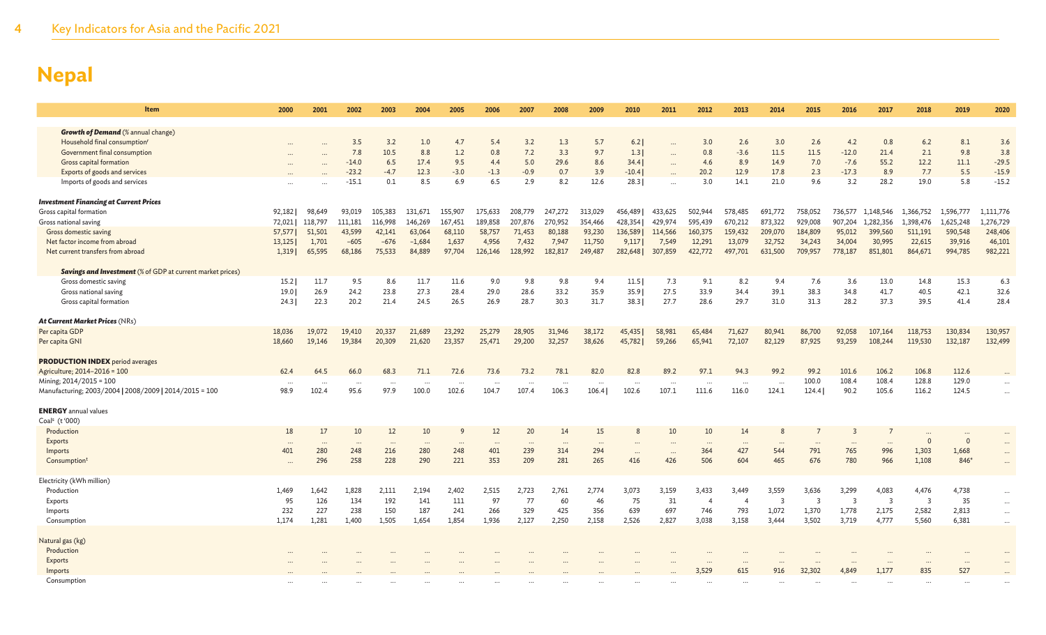| <b>Item</b>                                                       | 2000      | 2001     | 2002     | 2003     | 2004     | 2005     | 2006     | 2007      | 2008     | 2009    | 2010      | 2011      | 2012           | 2013                  | 2014           | 2015           | 2016                    | 2017           | 2018                    | 2019         | 2020      |
|-------------------------------------------------------------------|-----------|----------|----------|----------|----------|----------|----------|-----------|----------|---------|-----------|-----------|----------------|-----------------------|----------------|----------------|-------------------------|----------------|-------------------------|--------------|-----------|
| <b>Growth of Demand</b> (% annual change)                         |           |          |          |          |          |          |          |           |          |         |           |           |                |                       |                |                |                         |                |                         |              |           |
| Household final consumption <sup>r</sup>                          |           |          | 3.5      | 3.2      | 1.0      | 4.7      | 5.4      | 3.2       | 1.3      | 5.7     | 6.2       |           | 3.0            | 2.6                   | 3.0            | 2.6            | 4.2                     | 0.8            | 6.2                     | 8.1          | 3.6       |
| Government final consumption                                      | $\cdots$  |          | 7.8      | 10.5     | 8.8      | 1.2      | 0.8      | 7.2       | 3.3      | 9.7     | 1.3       |           | 0.8            | $-3.6$                | 11.5           | 11.5           | $-12.0$                 | 21.4           | 2.1                     | 9.8          | 3.8       |
| Gross capital formation                                           |           | $\cdots$ | $-14.0$  | 6.5      | 17.4     | 9.5      | 4.4      | 5.0       | 29.6     | 8.6     | 34.4      | $\cdots$  | 4.6            | 8.9                   | 14.9           | 7.0            | $-7.6$                  | 55.2           | 12.2                    | 11.1         | $-29.5$   |
| Exports of goods and services                                     |           |          | $-23.2$  | $-4.7$   | 12.3     | $-3.0$   | $-1.3$   | $-0.9$    | 0.7      | 3.9     | $-10.4$   |           | 20.2           | 12.9                  | 17.8           | 2.3            | $-17.3$                 | 8.9            | 7.7                     | 5.5          | $-15.9$   |
| Imports of goods and services                                     |           |          | $-15.1$  | 0.1      | 8.5      | 6.9      | 6.5      | 2.9       | 8.2      | 12.6    | 28.3      |           | 3.0            | 14.1                  | 21.0           | 9.6            | 3.2                     | 28.2           | 19.0                    | 5.8          | $-15.2$   |
| <b>Investment Financing at Current Prices</b>                     |           |          |          |          |          |          |          |           |          |         |           |           |                |                       |                |                |                         |                |                         |              |           |
| Gross capital formation                                           | 92,182    | 98,649   | 93,019   | 105,383  | 131,671  | 155,907  | 175,633  | 208,779   | 247,272  | 313,029 | 456,489   | 433,625   | 502,944        | 578,485               | 691,772        | 758,052        | 736,577                 | 1.148.546      | 1,366,752               | 1,596,777    | 1,111,776 |
| Gross national saving                                             | 72,021    | 118,797  | 111,181  | 116,998  | 146,269  | 167,451  | 189,858  | 207,876   | 270,952  | 354,466 | 428,354   | 429,974   | 595,439        | 670,212               | 873,322        | 929,008        | 907,204                 | 1,282,356      | 1,398,476               | 1,625,248    | 1,276,729 |
| Gross domestic saving                                             | 57,577    | 51,501   | 43,599   | 42,141   | 63,064   | 68,110   | 58,757   | 71,453    | 80,188   | 93,230  | 136,589   | 114,566   | 160,375        | 159,432               | 209,070        | 184,809        | 95,012                  | 399,560        | 511,191                 | 590,548      | 248,406   |
| Net factor income from abroad                                     | 13,125    | 1,701    | $-605$   | $-676$   | $-1,684$ | 1,637    | 4,956    | 7,432     | 7,947    | 11,750  | 9,117     | 7,549     | 12,291         | 13,079                | 32,752         | 34,243         | 34,004                  | 30,995         | 22,615                  | 39,916       | 46,101    |
| Net current transfers from abroad                                 | 1,319     | 65,595   | 68,186   | 75,533   | 84,889   | 97,704   | 126,146  | 128,992   | 182,817  | 249,487 | 282,648   | 307,859   | 422,772        | 497,701               | 631,500        | 709,957        | 778,187                 | 851,801        | 864,671                 | 994,785      | 982,221   |
| <b>Savings and Investment</b> (% of GDP at current market prices) |           |          |          |          |          |          |          |           |          |         |           |           |                |                       |                |                |                         |                |                         |              |           |
| Gross domestic saving                                             | 15.2      | 11.7     | 9.5      | 8.6      | 11.7     | 11.6     | 9.0      | 9.8       | 9.8      | 9.4     | 11.5      | 7.3       | 9.1            | 8.2                   | 9.4            | 7.6            | 3.6                     | 13.0           | 14.8                    | 15.3         | 6.3       |
| Gross national saving                                             | 19.0      | 26.9     | 24.2     | 23.8     | 27.3     | 28.4     | 29.0     | 28.6      | 33.2     | 35.9    | 35.9      | 27.5      | 33.9           | 34.4                  | 39.1           | 38.3           | 34.8                    | 41.7           | 40.5                    | 42.1         | 32.6      |
| Gross capital formation                                           | 24.3      | 22.3     | 20.2     | 21.4     | 24.5     | 26.5     | 26.9     | 28.7      | 30.3     | 31.7    | 38.3      | 27.7      | 28.6           | 29.7                  | 31.0           | 31.3           | 28.2                    | 37.3           | 39.5                    | 41.4         | 28.4      |
| At Current Market Prices (NRs)                                    |           |          |          |          |          |          |          |           |          |         |           |           |                |                       |                |                |                         |                |                         |              |           |
| Per capita GDP                                                    | 18,036    | 19,072   | 19,410   | 20,337   | 21,689   | 23,292   | 25,279   | 28,905    | 31,946   | 38,172  | 45,435    | 58,981    | 65,484         | 71,627                | 80,941         | 86,700         | 92,058                  | 107,164        | 118,753                 | 130,834      | 130,957   |
| Per capita GNI                                                    | 18,660    | 19,146   | 19,384   | 20,309   | 21,620   | 23,357   | 25,471   | 29,200    | 32,257   | 38,626  | 45,782    | 59,266    | 65,941         | 72,107                | 82,129         | 87,925         | 93,259                  | 108,244        | 119,530                 | 132,187      | 132,499   |
| <b>PRODUCTION INDEX</b> period averages                           |           |          |          |          |          |          |          |           |          |         |           |           |                |                       |                |                |                         |                |                         |              |           |
| Agriculture; 2014-2016 = 100                                      | 62.4      | 64.5     | 66.0     | 68.3     | 71.1     | 72.6     | 73.6     | 73.2      | 78.1     | 82.0    | 82.8      | 89.2      | 97.1           | 94.3                  | 99.2           | 99.2           | 101.6                   | 106.2          | 106.8                   | 112.6        |           |
| Mining; 2014/2015 = 100                                           | $\cdots$  | $\cdots$ | $\cdots$ | $\cdots$ |          | $\cdots$ |          |           |          |         | $\cdots$  | $\cdots$  | $\cdots$       | $\cdots$              | $\cdots$       | 100.0          | 108.4                   | 108.4          | 128.8                   | 129.0        |           |
| Manufacturing; 2003/2004   2008/2009   2014/2015 = 100            | 98.9      | 102.4    | 95.6     | 97.9     | 100.0    | 102.6    | 104.7    | 107.4     | 106.3    | 106.4   | 102.6     | 107.1     | 111.6          | 116.0                 | 124.1          | 124.4          | 90.2                    | 105.6          | 116.2                   | 124.5        |           |
| <b>ENERGY</b> annual values                                       |           |          |          |          |          |          |          |           |          |         |           |           |                |                       |                |                |                         |                |                         |              |           |
| Coal <sup>s</sup> (t'000)                                         |           |          |          |          |          |          |          |           |          |         |           |           |                |                       |                |                |                         |                |                         |              |           |
| Production                                                        | 18        | 17       | 10       | 12       | 10       | 9        | 12       | 20        | 14       | 15      |           | 10        | 10             | 14                    |                |                | 3                       |                |                         |              | $\cdots$  |
| Exports                                                           | $\cdots$  | $\cdots$ | $\cdots$ | $\cdots$ | $\cdots$ | $\cdots$ | $\cdots$ | $\ddotsc$ | $\cdots$ |         |           |           | $\cdots$       | $\cdots$              |                |                | $\cdots$                | $\ddots$       | $\mathbf 0$             | $\mathbf{0}$ | $\cdots$  |
| Imports                                                           | 401       | 280      | 248      | 216      | 280      | 248      | 401      | 239       | 314      | 294     | $\ddotsc$ | $\ddotsc$ | 364            | 427                   | 544            | 791            | 765                     | 996            | 1,303                   | 1,668        | $\cdots$  |
| Consumption <sup>t</sup>                                          | $\ddotsc$ | 296      | 258      | 228      | 290      | 221      | 353      | 209       | 281      | 265     | 416       | 426       | 506            | 604                   | 465            | 676            | 780                     | 966            | 1,108                   | 846*         | $\cdots$  |
| Electricity (kWh million)                                         |           |          |          |          |          |          |          |           |          |         |           |           |                |                       |                |                |                         |                |                         |              |           |
| Production                                                        | 1.469     | 1,642    | 1,828    | 2,111    | 2,194    | 2,402    | 2,515    | 2,723     | 2,761    | 2,774   | 3,073     | 3,159     | 3,433          | 3,449                 | 3,559          | 3,636          | 3,299                   | 4,083          | 4,476                   | 4,738        |           |
| Exports                                                           | 95        | 126      | 134      | 192      | 141      | 111      | 97       | 77        | 60       | 46      | 75        | 31        | $\overline{4}$ | $\boldsymbol{\Delta}$ | $\overline{3}$ | $\overline{3}$ | $\overline{\mathbf{3}}$ | $\overline{3}$ | $\overline{\mathbf{3}}$ | 35           | $\cdots$  |
| Imports                                                           | 232       | 227      | 238      | 150      | 187      | 241      | 266      | 329       | 425      | 356     | 639       | 697       | 746            | 793                   | 1,072          | 1,370          | 1,778                   | 2,175          | 2,582                   | 2,813        | $\cdots$  |
| Consumption                                                       | 1,174     | 1,281    | 1,400    | 1,505    | 1,654    | 1,854    | 1,936    | 2,127     | 2,250    | 2,158   | 2,526     | 2,827     | 3,038          | 3,158                 | 3,444          | 3,502          | 3,719                   | 4,777          | 5,560                   | 6,381        | $\ldots$  |
| Natural gas (kg)                                                  |           |          |          |          |          |          |          |           |          |         |           |           |                |                       |                |                |                         |                |                         |              |           |
| Production                                                        |           |          |          |          |          |          |          |           |          |         |           |           |                |                       |                |                |                         |                |                         |              |           |
| Exports                                                           |           |          |          |          |          |          |          |           |          |         |           |           |                |                       |                |                |                         |                |                         |              |           |
| Imports                                                           |           |          |          |          |          |          |          |           |          |         |           |           | 3,529          | 615                   | 916            | 32,302         | 4.849                   | 1,177          | 835                     | 527          |           |
| Consumption                                                       |           |          |          |          |          |          |          |           |          |         |           |           |                |                       |                |                | $\cdots$                | $\ddotsc$      |                         |              |           |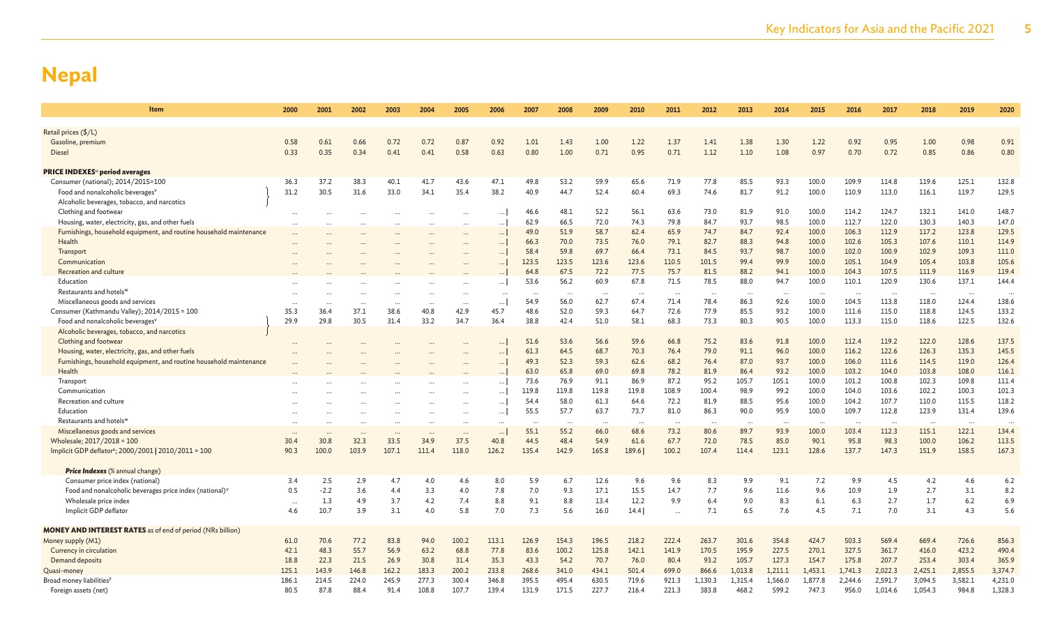| Item                                                                    | 2000             | 2001   | 2002             | 2003                 | 2004  | 2005             | 2006             | 2007              | 2008      | 2009      | 2010           | 2011             | 2012             | 2013             | 2014             | 2015              | 2016                 | 2017               | 2018               | 2019              | 2020               |
|-------------------------------------------------------------------------|------------------|--------|------------------|----------------------|-------|------------------|------------------|-------------------|-----------|-----------|----------------|------------------|------------------|------------------|------------------|-------------------|----------------------|--------------------|--------------------|-------------------|--------------------|
|                                                                         |                  |        |                  |                      |       |                  |                  |                   |           |           |                |                  |                  |                  |                  |                   |                      |                    |                    |                   |                    |
| Retail prices (\$/L)                                                    | 0.58             |        |                  |                      | 0.72  |                  |                  |                   | 1.43      |           |                | 1.37             | 1.41             |                  |                  |                   |                      |                    |                    |                   |                    |
| Gasoline, premium                                                       |                  | 0.61   | 0.66             | 0.72                 |       | 0.87             | 0.92             | 1.01              |           | 1.00      | 1.22           |                  |                  | 1.38             | 1.30             | 1.22              | 0.92                 | 0.95               | 1.00               | 0.98              | 0.91               |
| <b>Diesel</b>                                                           | 0.33             | 0.35   | 0.34             | 0.41                 | 0.41  | 0.58             | 0.63             | 0.80              | 1.00      | 0.71      | 0.95           | 0.71             | 1.12             | 1.10             | 1.08             | 0.97              | 0.70                 | 0.72               | 0.85               | 0.86              | 0.80               |
| <b>PRICE INDEXES</b> <sup>u</sup> period averages                       |                  |        |                  |                      |       |                  |                  |                   |           |           |                |                  |                  |                  |                  |                   |                      |                    |                    |                   |                    |
| Consumer (national); 2014/2015=100                                      | 36.3             | 37.2   | 38.3             | 40.1                 | 41.7  | 43.6             | 47.1             | 49.8              | 53.2      | 59.9      | 65.6           | 71.9             | 77.8             | 85.5             | 93.3             | 100.0             | 109.9                | 114.8              | 119.6              | 125.1             | 132.8              |
| Food and nonalcoholic beverages <sup>v</sup>                            | 31.2             | 30.5   | 31.6             | 33.0                 | 34.1  | 35.4             | 38.2             | 40.9              | 44.7      | 52.4      | 60.4           | 69.3             | 74.6             | 81.7             | 91.2             | 100.0             | 110.9                | 113.0              | 116.1              | 119.7             | 129.5              |
| Alcoholic beverages, tobacco, and narcotics                             |                  |        |                  |                      |       |                  |                  |                   |           |           |                |                  |                  |                  |                  |                   |                      |                    |                    |                   |                    |
| Clothing and footwear                                                   |                  |        | $\ddots$         |                      |       | $\cdots$         | $\ddots$         | 46.6              | 48.1      | 52.2      | 56.1           | 63.6             | 73.0             | 81.9             | 91.0             | 100.0             | 114.2                | 124.7              | 132.1              | 141.0             | 148.7              |
| Housing, water, electricity, gas, and other fuels                       |                  |        |                  | $\ddot{\phantom{a}}$ |       | $\ddotsc$        | $\ddots$         | 62.9              | 66.5      | 72.0      | 74.3           | 79.8             | 84.7             | 93.7             | 98.5             | 100.0             | 112.7                | 122.0              | 130.3              | 140.3             | 147.0              |
| Furnishings, household equipment, and routine household maintenance     |                  |        |                  |                      |       | $\ddotsc$        | $\ldots$         | 49.0              | 51.9      | 58.7      | 62.4           | 65.9             | 74.7             | 84.7             | 92.4             | 100.0             | 106.3                | 112.9              | 117.2              | 123.8             | 129.5              |
| Health                                                                  |                  |        |                  |                      |       |                  | $\cdots$         | 66.3              | 70.0      | 73.5      | 76.0           | 79.1             | 82.7             | 88.3             | 94.8             | 100.0             | 102.6                | 105.3              | 107.6              | 110.1             | 114.9              |
| Transport                                                               |                  |        |                  |                      |       |                  | $\cdots$         | 58.4              | 59.8      | 69.7      | 66.4           | 73.1             | 84.5             | 93.7             | 98.7             | 100.0             | 102.0                | 100.9              | 102.9              | 109.3             | 111.0              |
| Communication                                                           |                  |        |                  |                      |       |                  | $\cdots$         | 123.5             | 123.5     | 123.6     | 123.6          | 110.5            | 101.5            | 99.4             | 99.9             | 100.0             | 105.1                | 104.9              | 105.4              | 103.8             | 105.6              |
| Recreation and culture                                                  |                  |        |                  |                      |       |                  |                  | 64.8              | 67.5      | 72.2      | 77.5           | 75.7             | 81.5             | 88.2             | 94.1             | 100.0             | 104.3                | 107.5              | 111.9              | 116.9             | 119.4              |
| Education                                                               |                  |        |                  |                      |       |                  |                  | 53.6              | 56.2      | 60.9      | 67.8           | 71.5             | 78.5             | 88.0             | 94.7             | 100.0             | 110.1                | 120.9              | 130.6              | 137.1             | 144.4              |
| Restaurants and hotels <sup>w</sup>                                     |                  |        |                  |                      |       |                  | $\ddotsc$        |                   | $\cdots$  | $\ddots$  |                | $\cdots$         | $\ddotsc$        | $\ddots$         | $\ddotsc$        | $\ddots$          | $\ddot{\phantom{a}}$ | $\ddotsc$          | $\cdot$            | $\cdots$          | $\ddotsc$          |
| Miscellaneous goods and services                                        |                  |        |                  |                      |       |                  |                  | 54.9              | 56.0      | 62.7      | 67.4           | 71.4             | 78.4             | 86.3             | 92.6             | 100.0             | 104.5                | 113.8              | 118.0              | 124.4             | 138.6              |
| Consumer (Kathmandu Valley); 2014/2015 = 100                            | 35.3             | 36.4   | 37.1             | 38.6                 | 40.8  | 42.9             | 45.7             | 48.6              | 52.0      | 59.3      | 64.7           | 72.6             | 77.9             | 85.5             | 93.2             | 100.0             | 111.6                | 115.0              | 118.8              | 124.5             | 133.2              |
| Food and nonalcoholic beverages <sup>v</sup>                            | 29.9             | 29.8   | 30.5             | 31.4                 | 33.2  | 34.7             | 36.4             | 38.8              | 42.4      | 51.0      | 58.1           | 68.3             | 73.3             | 80.3             | 90.5             | 100.0             | 113.3                | 115.0              | 118.6              | 122.5             | 132.6              |
| Alcoholic beverages, tobacco, and narcotics                             |                  |        |                  |                      |       |                  |                  |                   |           |           |                |                  |                  |                  |                  |                   |                      |                    |                    |                   |                    |
| Clothing and footwear                                                   |                  |        |                  |                      |       |                  |                  | 51.6              | 53.6      | 56.6      | 59.6           | 66.8             | 75.2             | 83.6             | 91.8             | 100.0             | 112.4                | 119.2              | 122.0              | 128.6             | 137.5              |
| Housing, water, electricity, gas, and other fuels                       |                  |        |                  |                      |       |                  | $\cdots$         | 61.3              | 64.5      | 68.7      | 70.3           | 76.4             | 79.0             | 91.1             | 96.0             | 100.0             | 116.2                | 122.6              | 126.3              | 135.3             | 145.5              |
| Furnishings, household equipment, and routine household maintenance     |                  |        |                  |                      |       |                  | $\cdots$         | 49.3              | 52.3      | 59.3      | 62.6           | 68.2             | 76.4             | 87.0             | 93.7             | 100.0             | 106.0                | 111.6              | 114.5              | 119.0             | 126.4              |
| Health                                                                  |                  |        |                  |                      |       |                  |                  | 63.0              | 65.8      | 69.0      | 69.8           | 78.2             | 81.9             | 86.4             | 93.2             | 100.0             | 103.2                | 104.0              | 103.8              | 108.0             | 116.1              |
| Transport                                                               |                  |        |                  |                      |       |                  | $\cdots$         | 73.6              | 76.9      | 91.1      | 86.9           | 87.2             | 95.2             | 105.7            | 105.1            | 100.0             | 101.2                | 100.8              | 102.3              | 109.8             | 111.4              |
| Communication                                                           |                  |        |                  |                      |       |                  | $\ldots$         | 119.8             | 119.8     | 119.8     | 119.8          | 108.9            | 100.4            | 98.9             | 99.2             | 100.0             | 104.0                | 103.6              | 102.2              | 100.3             | 101.3              |
| Recreation and culture                                                  |                  |        |                  |                      |       | $\cdots$         | $\ldots$         | 54.4              | 58.0      | 61.3      | 64.6           | 72.2             | 81.9             | 88.5             | 95.6             | 100.0             | 104.2                | 107.7              | 110.0              | 115.5             | 118.2              |
| Education                                                               |                  |        |                  |                      |       | $\cdots$         | $\cdots$         | 55.5              | 57.7      | 63.7      | 73.7           | 81.0             | 86.3             | 90.0             | 95.9             | 100.0             | 109.7                | 112.8              | 123.9              | 131.4             | 139.6              |
| Restaurants and hotels <sup>w</sup><br>Miscellaneous goods and services | $\cdots$         |        |                  | $\cdots$             |       | $\cdots$         | $\cdots$         | $\ddotsc$<br>55.1 | .<br>55.2 | .<br>66.0 | $\sim$<br>68.6 | $\ddots$<br>73.2 | $\cdots$<br>80.6 | $\cdots$<br>89.7 | $\cdots$<br>93.9 | $\ddots$<br>100.0 | $\ddotsc$<br>103.4   | $\ddotsc$<br>112.3 | $\cdot$ .<br>115.1 | $\ddots$<br>122.1 | $\ddotsc$<br>134.4 |
| Wholesale; 2017/2018 = 100                                              | $\cdots$<br>30.4 | 30.8   | $\cdots$<br>32.3 | $\cdots$<br>33.5     | 34.9  | $\ddots$<br>37.5 | $\ldots$<br>40.8 | 44.5              | 48.4      | 54.9      | 61.6           | 67.7             | 72.0             | 78.5             | 85.0             | 90.1              | 95.8                 | 98.3               | 100.0              | 106.2             | 113.5              |
| Implicit GDP deflator <sup>x</sup> ; 2000/2001   2010/2011 = 100        | 90.3             | 100.0  | 103.9            | 107.1                | 111.4 | 118.0            | 126.2            | 135.4             | 142.9     | 165.8     | 189.6          | 100.2            | 107.4            | 114.4            | 123.1            | 128.6             | 137.7                | 147.3              | 151.9              | 158.5             | 167.3              |
|                                                                         |                  |        |                  |                      |       |                  |                  |                   |           |           |                |                  |                  |                  |                  |                   |                      |                    |                    |                   |                    |
| <b>Price Indexes</b> (% annual change)                                  |                  |        |                  |                      |       |                  |                  |                   |           |           |                |                  |                  |                  |                  |                   |                      |                    |                    |                   |                    |
| Consumer price index (national)                                         | 3.4              | 2.5    | 2.9              | 4.7                  | 4.0   | 4.6              | 8.0              | 5.9               | 6.7       | 12.6      | 9.6            | 9.6              | 8.3              | 9.9              | 9.1              | 7.2               | 9.9                  | 4.5                | 4.2                | 4.6               | 6.2                |
| Food and nonalcoholic beverages price index (national) <sup>v</sup>     | 0.5              | $-2.2$ | 3.6              | 4.4                  | 3.3   | 4.0              | 7.8              | 7.0               | 9.3       | 17.1      | 15.5           | 14.7             | 7.7              | 9.6              | 11.6             | 9.6               | 10.9                 | 1.9                | 2.7                | 3.1               | 8.2                |
| Wholesale price index                                                   | $\cdots$         | 1.3    | 4.9              | 3.7                  | 4.2   | 7.4              | 8.8              | 9.1               | 8.8       | 13.4      | 12.2           | 9.9              | 6.4              | 9.0              | 8.3              | 6.1               | 6.3                  | 2.7                | 1.7                | 6.2               | 6.9                |
| Implicit GDP deflator                                                   | 4.6              | 10.7   | 3.9              | 3.1                  | 4.0   | 5.8              | 7.0              | 7.3               | 5.6       | 16.0      | 14.4           |                  | 7.1              | 6.5              | 7.6              | 4.5               | 7.1                  | 7.0                | 3.1                | 4.3               | 5.6                |
| <b>MONEY AND INTEREST RATES</b> as of end of period (NRs billion)       |                  |        |                  |                      |       |                  |                  |                   |           |           |                |                  |                  |                  |                  |                   |                      |                    |                    |                   |                    |
| Money supply (M1)                                                       | 61.0             | 70.6   | 77.2             | 83.8                 | 94.0  | 100.2            | 113.1            | 126.9             | 154.3     | 196.5     | 218.2          | 222.4            | 263.7            | 301.6            | 354.8            | 424.7             | 503.3                | 569.4              | 669.4              | 726.6             | 856.3              |
| Currency in circulation                                                 | 42.1             | 48.3   | 55.7             | 56.9                 | 63.2  | 68.8             | 77.8             | 83.6              | 100.2     | 125.8     | 142.1          | 141.9            | 170.5            | 195.9            | 227.5            | 270.1             | 327.5                | 361.7              | 416.0              | 423.2             | 490.4              |
| Demand deposits                                                         | 18.8             | 22.3   | 21.5             | 26.9                 | 30.8  | 31.4             | 35.3             | 43.3              | 54.2      | 70.7      | 76.0           | 80.4             | 93.2             | 105.7            | 127.3            | 154.7             | 175.8                | 207.7              | 253.4              | 303.4             | 365.9              |
| Quasi-money                                                             | 125.1            | 143.9  | 146.8            | 162.2                | 183.3 | 200.2            | 233.8            | 268.6             | 341.0     | 434.1     | 501.4          | 699.0            | 866.6            | 1,013.8          | 1,211.1          | 1,453.1           | 1,741.3              | 2,022.3            | 2,425.1            | 2,855.5           | 3,374.7            |
| Broad money liabilities <sup>y</sup>                                    | 186.1            | 214.5  | 224.0            | 245.9                | 277.3 | 300.4            | 346.8            | 395.5             | 495.4     | 630.5     | 719.6          | 921.3            | 1,130.3          | 1,315.4          | 1,566.0          | 1,877.8           | 2,244.6              | 2,591.7            | 3,094.5            | 3,582.1           | 4,231.0            |
| Foreign assets (net)                                                    | 80.5             | 87.8   | 88.4             | 91.4                 | 108.8 | 107.7            | 139.4            | 131.9             | 171.5     | 227.7     | 216.4          | 221.3            | 383.8            | 468.2            | 599.2            | 747.3             | 956.0                | 1,014.6            | 1,054.3            | 984.8             | 1,328.3            |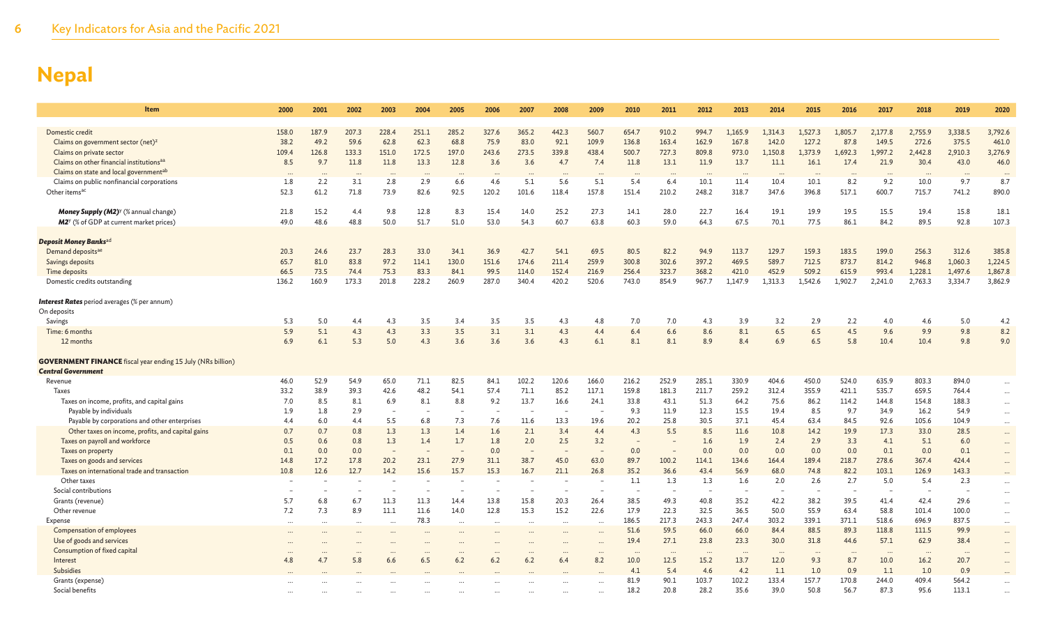| Item                                                               | 2000      | 2001      | 2002      | 2003                 | 2004      | 2005      | 2006                     | 2007  | 2008                     | 2009      | 2010                 | 2011                     | 2012      | 2013                 | 2014                 | 2015      | 2016                     | 2017     | 2018     | 2019    | 2020     |
|--------------------------------------------------------------------|-----------|-----------|-----------|----------------------|-----------|-----------|--------------------------|-------|--------------------------|-----------|----------------------|--------------------------|-----------|----------------------|----------------------|-----------|--------------------------|----------|----------|---------|----------|
|                                                                    |           |           |           |                      |           |           |                          |       |                          |           |                      |                          |           |                      |                      |           |                          |          |          |         |          |
| Domestic credit                                                    | 158.0     | 187.9     | 207.3     | 228.4                | 251.1     | 285.2     | 327.6                    | 365.2 | 442.3                    | 560.7     | 654.7                | 910.2                    | 994.7     | 1.165.9              | 1.314.3              | 1.527.3   | 1.805.7                  | 2.177.8  | 2,755.9  | 3,338.5 | 3,792.6  |
| Claims on government sector (net) <sup>z</sup>                     | 38.2      | 49.2      | 59.6      | 62.8                 | 62.3      | 68.8      | 75.9                     | 83.0  | 92.1                     | 109.9     | 136.8                | 163.4                    | 162.9     | 167.8                | 142.0                | 127.2     | 87.8                     | 149.5    | 272.6    | 375.5   | 461.0    |
| Claims on private sector                                           | 109.4     | 126.8     | 133.3     | 151.0                | 172.5     | 197.0     | 243.6                    | 273.5 | 339.8                    | 438.4     | 500.7                | 727.3                    | 809.8     | 973.0                | 1.150.8              | 1.373.9   | 1.692.3                  | 1.997.2  | 2.442.8  | 2,910.3 | 3,276.9  |
| Claims on other financial institutions <sup>aa</sup>               | 8.5       | 9.7       | 11.8      | 11.8                 | 13.3      | 12.8      | 3.6                      | 3.6   | 4.7                      | 7.4       | 11.8                 | 13.1                     | 11.9      | 13.7                 | 11.1                 | 16.1      | 17.4                     | 21.9     | 30.4     | 43.0    | 46.0     |
| Claims on state and local governmentab                             |           |           |           |                      |           |           |                          |       |                          |           |                      |                          |           |                      |                      |           |                          |          |          |         |          |
| Claims on public nonfinancial corporations                         | 1.8       | 2.2       | 3.1       | 2.8                  | 2.9       | 6.6       | 4.6                      | 5.1   | 5.6                      | 5.1       | 5.4                  | 6.4                      | 10.1      | 11.4                 | 10.4                 | 10.1      | 8.2                      | 9.2      | 10.0     | 9.7     | 8.7      |
| Other items <sup>ac</sup>                                          | 52.3      | 61.2      | 71.8      | 73.9                 | 82.6      | 92.5      | 120.2                    | 101.6 | 118.4                    | 157.8     | 151.4                | 210.2                    | 248.2     | 318.7                | 347.6                | 396.8     | 517.1                    | 600.7    | 715.7    | 741.2   | 890.0    |
| Money Supply (M2) <sup>y</sup> (% annual change)                   | 21.8      | 15.2      | 4.4       | 9.8                  | 12.8      | 8.3       | 15.4                     | 14.0  | 25.2                     | 27.3      | 14.1                 | 28.0                     | 22.7      | 16.4                 | 19.1                 | 19.9      | 19.5                     | 15.5     | 19.4     | 15.8    | 18.1     |
| M2 <sup>y</sup> (% of GDP at current market prices)                | 49.0      | 48.6      | 48.8      | 50.0                 | 51.7      | 51.0      | 53.0                     | 54.3  | 60.7                     | 63.8      | 60.3                 | 59.0                     | 64.3      | 67.5                 | 70.1                 | 77.5      | 86.1                     | 84.2     | 89.5     | 92.8    | 107.3    |
|                                                                    |           |           |           |                      |           |           |                          |       |                          |           |                      |                          |           |                      |                      |           |                          |          |          |         |          |
| Deposit Money Banks <sup>ad</sup>                                  |           |           |           |                      |           |           |                          |       |                          |           |                      |                          |           |                      |                      |           |                          |          |          |         |          |
| Demand deposits <sup>ae</sup>                                      | 20.3      | 24.6      | 23.7      | 28.3                 | 33.0      | 34.1      | 36.9                     | 42.7  | 54.1                     | 69.5      | 80.5                 | 82.2                     | 94.9      | 113.7                | 129.7                | 159.3     | 183.5                    | 199.0    | 256.3    | 312.6   | 385.8    |
| Savings deposits                                                   | 65.7      | 81.0      | 83.8      | 97.2                 | 114.1     | 130.0     | 151.6                    | 174.6 | 211.4                    | 259.9     | 300.8                | 302.6                    | 397.2     | 469.5                | 589.7                | 712.5     | 873.7                    | 814.2    | 946.8    | 1,060.3 | 1,224.5  |
| Time deposits                                                      | 66.5      | 73.5      | 74.4      | 75.3                 | 83.3      | 84.1      | 99.5                     | 114.0 | 152.4                    | 216.9     | 256.4                | 323.7                    | 368.2     | 421.0                | 452.9                | 509.2     | 615.9                    | 993.4    | 1,228.1  | 1,497.6 | 1,867.8  |
| Domestic credits outstanding                                       | 136.2     | 160.9     | 173.3     | 201.8                | 228.2     | 260.9     | 287.0                    | 340.4 | 420.2                    | 520.6     | 743.0                | 854.9                    | 967.7     | 1,147.9              | 1,313.3              | 1.542.6   | 1,902.7                  | 2,241.0  | 2,763.3  | 3,334.7 | 3,862.9  |
|                                                                    |           |           |           |                      |           |           |                          |       |                          |           |                      |                          |           |                      |                      |           |                          |          |          |         |          |
| <b>Interest Rates</b> period averages (% per annum)                |           |           |           |                      |           |           |                          |       |                          |           |                      |                          |           |                      |                      |           |                          |          |          |         |          |
| On deposits                                                        |           |           |           |                      |           |           |                          |       |                          |           |                      |                          |           |                      |                      |           |                          |          |          |         |          |
| Savings                                                            | 5.3       | 5.0       | 4.4       | 4.3                  | 3.5       | 3.4       | 3.5                      | 3.5   | 4.3                      | 4.8       | 7.0                  | 7.0                      | 4.3       | 3.9                  | 3.2                  | 2.9       | 2.2                      | 4.0      | 4.6      | 5.0     | 4.2      |
| Time: 6 months                                                     | 5.9       | 5.1       | 4.3       | 4.3                  | 3.3       | 3.5       | 3.1                      | 3.1   | 4.3                      | 4.4       | 6.4                  | 6.6                      | 8.6       | 8.1                  | 6.5                  | 6.5       | 4.5                      | 9.6      | 9.9      | 9.8     | 8.2      |
| 12 months                                                          | 6.9       | 6.1       | 5.3       | 5.0                  | 4.3       | 3.6       | 3.6                      | 3.6   | 4.3                      | 6.1       | 8.1                  | 8.1                      | 8.9       | 8.4                  | 6.9                  | 6.5       | 5.8                      | 10.4     | 10.4     | 9.8     | 9.0      |
| <b>GOVERNMENT FINANCE</b> fiscal year ending 15 July (NRs billion) |           |           |           |                      |           |           |                          |       |                          |           |                      |                          |           |                      |                      |           |                          |          |          |         |          |
| <b>Central Government</b>                                          |           |           |           |                      |           |           |                          |       |                          |           |                      |                          |           |                      |                      |           |                          |          |          |         |          |
| Revenue                                                            | 46.0      | 52.9      | 54.9      | 65.0                 | 71.1      | 82.5      | 84.1                     | 102.2 | 120.6                    | 166.0     | 216.2                | 252.9                    | 285.1     | 330.9                | 404.6                | 450.0     | 524.0                    | 635.9    | 803.3    | 894.0   | $\cdots$ |
| <b>Taxes</b>                                                       | 33.2      | 38.9      | 39.3      | 42.6                 | 48.2      | 54.1      | 57.4                     | 71.1  | 85.2                     | 117.1     | 159.8                | 181.3                    | 211.7     | 259.2                | 312.4                | 355.9     | 421.1                    | 535.7    | 659.5    | 764.4   | $\cdots$ |
| Taxes on income, profits, and capital gains                        | 7.0       | 8.5       | 8.1       | 6.9                  | 8.1       | 8.8       | 9.2                      | 13.7  | 16.6                     | 24.1      | 33.8                 | 43.1                     | 51.3      | 64.2                 | 75.6                 | 86.2      | 114.2                    | 144.8    | 154.8    | 188.3   | $\cdots$ |
| Payable by individuals                                             | 1.9       | 1.8       | 2.9       |                      |           | $\sim$    |                          |       | $\overline{a}$           |           | 9.3                  | 11.9                     | 12.3      | 15.5                 | 19.4                 | 8.5       | 9.7                      | 34.9     | 16.2     | 54.9    | $\cdots$ |
| Payable by corporations and other enterprises                      | 4.4       | 6.0       | 4.4       | 5.5                  | 6.8       | 7.3       | 7.6                      | 11.6  | 13.3                     | 19.6      | 20.2                 | 25.8                     | 30.5      | 37.1                 | 45.4                 | 63.4      | 84.5                     | 92.6     | 105.6    | 104.9   | $\cdots$ |
| Other taxes on income, profits, and capital gains                  | 0.7       | 0.7       | 0.8       | 1.3                  | 1.3       | 1.4       | 1.6                      | 2.1   | 3.4                      | 4.4       | 4.3                  | 5.5                      | 8.5       | 11.6                 | 10.8                 | 14.2      | 19.9                     | 17.3     | 33.0     | 28.5    | $\cdots$ |
| Taxes on payroll and workforce                                     | 0.5       | 0.6       | 0.8       | 1.3                  | 1.4       | 1.7       | 1.8                      | 2.0   | 2.5                      | 3.2       |                      |                          | 1.6       | 1.9                  | 2.4                  | 2.9       | 3.3                      | 4.1      | 5.1      | 6.0     |          |
| Taxes on property                                                  | 0.1       | 0.0       | 0.0       |                      |           |           | 0.0                      |       |                          |           | 0.0                  |                          | 0.0       | 0.0                  | 0.0                  | 0.0       | 0.0                      | 0.1      | 0.0      | 0.1     |          |
| Taxes on goods and services                                        | 14.8      | 17.2      | 17.8      | 20.2                 | 23.1      | 27.9      | 31.1                     | 38.7  | 45.0                     | 63.0      | 89.7                 | 100.2                    | 114.1     | 134.6                | 164.4                | 189.4     | 218.7                    | 278.6    | 367.4    | 424.4   |          |
| Taxes on international trade and transaction                       | 10.8      | 12.6      | 12.7      | 14.2                 | 15.6      | 15.7      | 15.3                     | 16.7  | 21.1                     | 26.8      | 35.2                 | 36.6                     | 43.4      | 56.9                 | 68.0                 | 74.8      | 82.2                     | 103.1    | 126.9    | 143.3   |          |
| Other taxes                                                        |           |           |           |                      |           |           |                          |       |                          |           | 1.1                  | 1.3                      | 1.3       | 1.6                  | 2.0                  | 2.6       | 2.7                      | 5.0      | 5.4      | 2.3     | $\cdots$ |
| Social contributions                                               |           |           |           |                      |           | $\sim$    |                          |       | $\overline{\phantom{a}}$ |           |                      | $\overline{\phantom{a}}$ |           |                      |                      |           | $\overline{\phantom{a}}$ |          |          |         | $\cdots$ |
| Grants (revenue)                                                   | 5.7       | 6.8       | 6.7       | 11.3                 | 11.3      | 14.4      | 13.8                     | 15.8  | 20.3                     | 26.4      | 38.5                 | 49.3                     | 40.8      | 35.2                 | 42.2                 | 38.2      | 39.5                     | 41.4     | 42.4     | 29.6    | $\cdots$ |
| Other revenue                                                      | 7.2       | 7.3       | 8.9       | 11.1                 | 11.6      | 14.0      | 12.8                     | 15.3  | 15.2                     | 22.6      | 17.9                 | 22.3                     | 32.5      | 36.5                 | 50.0                 | 55.9      | 63.4                     | 58.8     | 101.4    | 100.0   | $\cdots$ |
| Expense                                                            | $\ddotsc$ | $\ddotsc$ | $\cdots$  | $\ddot{\phantom{a}}$ | 78.3      | $\cdots$  | $\ddot{\phantom{a}}$     |       | $\ddotsc$                | $\cdots$  | 186.5                | 217.3                    | 243.3     | 247.4                | 303.2                | 339.1     | 371.1                    | 518.6    | 696.9    | 837.5   | $\cdots$ |
| Compensation of employees                                          | $\ddotsc$ |           |           | $\cdots$             |           |           | $\ddotsc$                |       |                          | $\ddotsc$ | 51.6                 | 59.5                     | 66.0      | 66.0                 | 84.4                 | 88.5      | 89.3                     | 118.8    | 111.5    | 99.9    | $\cdots$ |
| Use of goods and services                                          |           |           | $\cdots$  |                      |           | $\cdots$  |                          |       | $\ddotsc$                | $\cdots$  | 19.4                 | 27.1                     | 23.8      | 23.3                 | 30.0                 | 31.8      | 44.6                     | 57.1     | 62.9     | 38.4    | $\cdots$ |
| Consumption of fixed capital                                       |           | $\ddotsc$ | $\ddotsc$ | $\cdots$             | $\ddotsc$ | $\ddotsc$ | $\overline{\phantom{a}}$ |       | $\ddotsc$                | $\ddots$  | $\ddot{\phantom{a}}$ | $\cdots$                 | $\ddotsc$ | $\ddot{\phantom{a}}$ | $\ddot{\phantom{a}}$ | $\ddotsc$ | $\cdots$                 | $\cdots$ | $\cdots$ |         | $\cdots$ |
| Interest                                                           | 4.8       | 4.7       | 5.8       | 6.6                  | 6.5       | 6.2       | 6.2                      | 6.2   | 6.4                      | 8.2       | 10.0                 | 12.5                     | 15.2      | 13.7                 | 12.0                 | 9.3       | 8.7                      | 10.0     | 16.2     | 20.7    | $\cdots$ |
| Subsidies                                                          |           |           |           |                      |           |           |                          |       |                          |           | 4.1                  | 5.4                      | 4.6       | 4.2                  | 1.1                  | 1.0       | 0.9                      | 1.1      | 1.0      | 0.9     |          |
| Grants (expense)                                                   |           |           |           |                      |           |           |                          |       |                          |           | 81.9                 | 90.1                     | 103.7     | 102.2                | 133.4                | 157.7     | 170.8                    | 244.0    | 409.4    | 564.2   |          |
| Social benefits                                                    |           |           |           |                      |           |           |                          |       |                          |           | 18.2                 | 20.8                     | 28.2      | 35.6                 | 39.0                 | 50.8      | 56.7                     | 87.3     | 95.6     | 113.1   |          |
|                                                                    |           |           |           |                      |           |           |                          |       |                          |           |                      |                          |           |                      |                      |           |                          |          |          |         |          |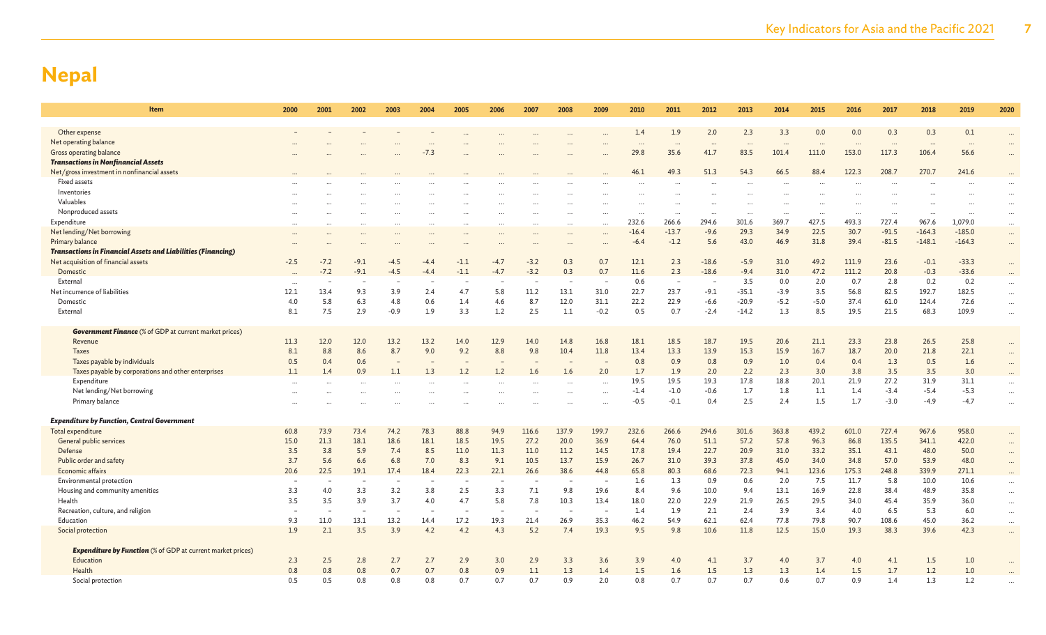| Item                                                                | 2000                            | 2001   | 2002                            | 2003     | 2004               | 2005      | 2006     | 2007     | 2008      | 2009     | 2010             | 2011             | 2012        | 2013       | 2014        | 2015               | 2016              | 2017              | 2018              | 2019             | 2020                 |
|---------------------------------------------------------------------|---------------------------------|--------|---------------------------------|----------|--------------------|-----------|----------|----------|-----------|----------|------------------|------------------|-------------|------------|-------------|--------------------|-------------------|-------------------|-------------------|------------------|----------------------|
|                                                                     |                                 |        |                                 |          |                    |           |          |          |           |          | 1.4              | 1.9              | 2.0         |            | 3.3         | 0.0                |                   | 0.3               |                   | 0.1              |                      |
| Other expense<br>Net operating balance                              |                                 |        |                                 |          |                    |           |          |          |           |          |                  |                  |             | 2.3        |             |                    | 0.0               |                   | 0.3               |                  | $\ddotsc$            |
| Gross operating balance                                             |                                 |        |                                 |          | $\cdots$<br>$-7.3$ |           |          |          |           |          | $\cdots$<br>29.8 | $\cdots$<br>35.6 | 41.7        | 83.5       | 101.4       | $\ddotsc$<br>111.0 | $\cdots$<br>153.0 | $\cdots$<br>117.3 | $\cdots$<br>106.4 | $\cdots$<br>56.6 | $\cdots$             |
| <b>Transactions in Nonfinancial Assets</b>                          |                                 |        |                                 |          |                    |           |          |          |           |          |                  |                  |             |            |             |                    |                   |                   |                   |                  |                      |
| Net/gross investment in nonfinancial assets                         |                                 |        |                                 |          |                    |           |          |          |           |          | 46.1             | 49.3             | 51.3        | 54.3       | 66.5        | 88.4               | 122.3             | 208.7             | 270.7             | 241.6            |                      |
| Fixed assets                                                        |                                 |        |                                 |          |                    |           |          |          |           |          |                  |                  |             |            |             |                    |                   |                   |                   |                  |                      |
| Inventories                                                         |                                 |        |                                 |          |                    |           |          |          |           |          |                  |                  |             |            |             |                    |                   |                   |                   |                  | $\cdots$             |
| Valuables                                                           |                                 |        |                                 |          |                    |           |          |          |           |          |                  |                  |             |            |             |                    |                   |                   |                   |                  | $\cdots$             |
| Nonproduced assets                                                  |                                 |        |                                 |          |                    |           |          |          |           |          |                  | $\cdots$         |             |            |             | $\cdots$           |                   | $\cdot \cdot$     | $\ddotsc$         |                  | $\cdots$             |
| Expenditure                                                         | $\cdots$                        |        |                                 | $\cdots$ | $\ddotsc$          | $\ddotsc$ | $\cdots$ | $\cdots$ | $\ddotsc$ | $\cdots$ | 232.6            | 266.6            | 294.6       | 301.6      | 369.7       | 427.5              | 493.3             | 727.4             | 967.6             | 1,079.0          | $\cdots$             |
| Net lending/Net borrowing                                           |                                 |        |                                 |          |                    |           |          |          |           |          | $-16.4$          | $-13.7$          | $-9.6$      | 29.3       | 34.9        | 22.5               | 30.7              | $-91.5$           | $-164.3$          | $-185.0$         | $\cdots$             |
| Primary balance                                                     |                                 |        |                                 |          |                    |           |          |          |           |          | $-6.4$           | $-1.2$           | 5.6         | 43.0       | 46.9        | 31.8               | 39.4              | $-81.5$           | $-148.1$          | $-164.3$         | $\cdots$             |
| <b>Transactions in Financial Assets and Liabilities (Financing)</b> |                                 |        |                                 |          |                    |           |          |          |           |          |                  |                  |             |            |             |                    |                   |                   |                   |                  |                      |
| Net acquisition of financial assets                                 | $-2.5$                          | $-7.2$ | $-9.1$                          | $-4.5$   | $-4.4$             | $-1.1$    | $-4.7$   | $-3.2$   | 0.3       | 0.7      | 12.1             | 2.3              | $-18.6$     | $-5.9$     | 31.0        | 49.2               | 111.9             | 23.6              | $-0.1$            | $-33.3$          | $\cdots$             |
| Domestic                                                            |                                 | $-7.2$ | $-9.1$                          | $-4.5$   | $-4.4$             | $-1.1$    | $-4.7$   | $-3.2$   | 0.3       | 0.7      | 11.6             | 2.3              | $-18.6$     | $-9.4$     | 31.0        | 47.2               | 111.2             | 20.8              | $-0.3$            | $-33.6$          | $\cdots$             |
| External                                                            |                                 |        |                                 |          |                    |           |          |          |           |          | 0.6              | $\sim$           |             | 3.5        | 0.0         | 2.0                | 0.7               | 2.8               | 0.2               | 0.2              | $\cdots$             |
| Net incurrence of liabilities                                       | 12.1                            | 13.4   | 9.3                             | 3.9      | 2.4                | 4.7       | 5.8      | 11.2     | 13.1      | 31.0     | 22.7             | 23.7             | $-9.1$      | $-35.1$    | $-3.9$      | 3.5                | 56.8              | 82.5              | 192.7             | 182.5            | $\ddots$             |
| Domestic                                                            | 4.0                             | 5.8    | 6.3                             | 4.8      | 0.6                | 1.4       | 4.6      | 8.7      | 12.0      | 31.1     | 22.2             | 22.9             | $-6.6$      | $-20.9$    | $-5.2$      | $-5.0$             | 37.4              | 61.0              | 124.4             | 72.6             | $\cdots$             |
| External                                                            | 8.1                             | 7.5    | 2.9                             | $-0.9$   | 1.9                | 3.3       | 1.2      | 2.5      | 1.1       | $-0.2$   | 0.5              | 0.7              | $-2.4$      | $-14.2$    | 1.3         | 8.5                | 19.5              | 21.5              | 68.3              | 109.9            | $\ddots$             |
| <b>Government Finance</b> (% of GDP at current market prices)       |                                 |        |                                 |          |                    |           |          |          |           |          |                  |                  |             |            |             |                    |                   |                   |                   |                  |                      |
| Revenue                                                             | 11.3                            | 12.0   | 12.0                            | 13.2     | 13.2               | 14.0      | 12.9     | 14.0     | 14.8      | 16.8     | 18.1             | 18.5             | 18.7        | 19.5       | 20.6        | 21.1               | 23.3              | 23.8              | 26.5              | 25.8             | $\cdots$             |
| <b>Taxes</b>                                                        | 8.1                             | 8.8    | 8.6                             | 8.7      | 9.0                | 9.2       | 8.8      | 9.8      | 10.4      | 11.8     | 13.4             | 13.3             | 13.9        | 15.3       | 15.9        | 16.7               | 18.7              | 20.0              | 21.8              | 22.1             | $\cdots$             |
| Taxes payable by individuals                                        | 0.5                             | 0.4    | 0.6                             |          |                    |           |          |          |           |          | 0.8              | 0.9              | 0.8         | 0.9        | 1.0         | 0.4                | 0.4               | 1.3               | 0.5               | 1.6              | $\cdots$             |
| Taxes payable by corporations and other enterprises                 | 1.1                             | 1.4    | 0.9                             | 1.1      | 1.3                | 1.2       | 1.2      | 1.6      | 1.6       | 2.0      | 1.7              | 1.9              | 2.0         | 2.2        | 2.3         | 3.0                | 3.8               | 3.5               | 3.5               | 3.0              | $\cdots$             |
| Expenditure                                                         |                                 |        |                                 |          |                    |           |          |          |           |          | 19.5             | 19.5             | 19.3        | 17.8       | 18.8        | 20.1               | 21.9              | 27.2              | 31.9              | 31.1             | $\cdots$             |
| Net lending/Net borrowing                                           |                                 |        |                                 |          |                    |           |          |          |           |          | $-1.4$           | $-1.0$           | $-0.6$      | 1.7        | 1.8         | 1.1                | 1.4               | $-3.4$            | $-5.4$            | $-5.3$           | $\cdots$             |
| Primary balance                                                     |                                 |        |                                 |          |                    |           |          |          |           |          | $-0.5$           | $-0.1$           | 0.4         | 2.5        | 2.4         | 1.5                | 1.7               | $-3.0$            | $-4.9$            | $-4.7$           | $\ddotsc$            |
|                                                                     |                                 |        |                                 |          |                    |           |          |          |           |          |                  |                  |             |            |             |                    |                   |                   |                   |                  |                      |
| <b>Expenditure by Function, Central Government</b>                  |                                 |        |                                 |          |                    |           |          |          |           |          |                  |                  |             |            |             |                    |                   |                   |                   |                  |                      |
| Total expenditure                                                   | 60.8                            | 73.9   | 73.4                            | 74.2     | 78.3               | 88.8      | 94.9     | 116.6    | 137.9     | 199.7    | 232.6            | 266.6            | 294.6       | 301.6      | 363.8       | 439.2              | 601.0             | 727.4             | 967.6             | 958.0            | $\cdots$             |
| <b>General public services</b>                                      | 15.0                            | 21.3   | 18.1                            | 18.6     | 18.1               | 18.5      | 19.5     | 27.2     | 20.0      | 36.9     | 64.4             | 76.0             | 51.1        | 57.2       | 57.8        | 96.3               | 86.8              | 135.5             | 341.1             | 422.0            | $\cdots$             |
| Defense                                                             | 3.5                             | 3.8    | 5.9                             | 7.4      | 8.5                | 11.0      | 11.3     | 11.0     | 11.2      | 14.5     | 17.8             | 19.4             | 22.7        | 20.9       | 31.0        | 33.2               | 35.1              | 43.1              | 48.0              | 50.0             | $\cdots$             |
| Public order and safety                                             | 3.7                             | 5.6    | 6.6                             | 6.8      | 7.0                | 8.3       | 9.1      | 10.5     | 13.7      | 15.9     | 26.7             | 31.0             | 39.3        | 37.8       | 45.0        | 34.0               | 34.8              | 57.0              | 53.9              | 48.0             | $\cdots$             |
| Economic affairs                                                    | 20.6                            | 22.5   | 19.1                            | 17.4     | 18.4               | 22.3      | 22.1     | 26.6     | 38.6      | 44.8     | 65.8<br>1.6      | 80.3<br>1.3      | 68.6<br>0.9 | 72.3       | 94.1<br>2.0 | 123.6<br>7.5       | 175.3             | 248.8<br>5.8      | 339.9             | 271.1<br>10.6    | $\cdots$             |
| Environmental protection                                            | $\overline{\phantom{m}}$<br>3.3 | 4.0    | $\overline{\phantom{m}}$<br>3.3 | 3.2      | 3.8                | 2.5       | 3.3      | 7.1      | 9.8       | 19.6     | 8.4              | 9.6              | 10.0        | 0.6<br>9.4 | 13.1        | 16.9               | 11.7<br>22.8      | 38.4              | 10.0<br>48.9      | 35.8             | $\dots$              |
| Housing and community amenities<br>Health                           | 3.5                             | 3.5    | 3.9                             | 3.7      | 4.0                | 4.7       | 5.8      | 7.8      | 10.3      | 13.4     | 18.0             | 22.0             | 22.9        | 21.9       | 26.5        | 29.5               | 34.0              | 45.4              | 35.9              | 36.0             | $\cdots$             |
| Recreation, culture, and religion                                   |                                 |        |                                 |          |                    |           |          |          |           |          | 1.4              | 1.9              | 2.1         | 2.4        | 3.9         | 3.4                | 4.0               | 6.5               | 5.3               | 6.0              | $\cdots$             |
| Education                                                           | 9.3                             | 11.0   | 13.1                            | 13.2     | 14.4               | 17.2      | 19.3     | 21.4     | 26.9      | 35.3     | 46.2             | 54.9             | 62.1        | 62.4       | 77.8        | 79.8               | 90.7              | 108.6             | 45.0              | 36.2             | $\cdots$             |
| Social protection                                                   | 1.9                             | 2.1    | 3.5                             | 3.9      | 4.2                | 4.2       | 4.3      | 5.2      | 7.4       | 19.3     | 9.5              | 9.8              | 10.6        | 11.8       | 12.5        | 15.0               | 19.3              | 38.3              | 39.6              | 42.3             | $\cdots$<br>$\ddots$ |
|                                                                     |                                 |        |                                 |          |                    |           |          |          |           |          |                  |                  |             |            |             |                    |                   |                   |                   |                  |                      |
| <b>Expenditure by Function</b> (% of GDP at current market prices)  |                                 |        |                                 |          |                    |           |          |          |           |          |                  |                  |             |            |             |                    |                   |                   |                   |                  |                      |
| Education                                                           | 2.3                             | 2.5    | 2.8                             | 2.7      | 2.7                | 2.9       | 3.0      | 2.9      | 3.3       | 3.6      | 3.9              | 4.0              | 4.1         | 3.7        | 4.0         | 3.7                | 4.0               | 4.1               | 1.5               | 1.0              | $\ddots$             |
| Health                                                              | 0.8                             | 0.8    | 0.8                             | 0.7      | 0.7                | 0.8       | 0.9      | 1.1      | 1.3       | 1.4      | 1.5              | 1.6              | 1.5         | 1.3        | 1.3         | 1.4                | 1.5               | 1.7               | 1.2               | 1.0              |                      |
| Social protection                                                   | 0.5                             | 0.5    | 0.8                             | 0.8      | 0.8                | 0.7       | 0.7      | 0.7      | 0.9       | 2.0      | 0.8              | 0.7              | 0.7         | 0.7        | 0.6         | 0.7                | 0.9               | 1.4               | 1.3               | 1.2              |                      |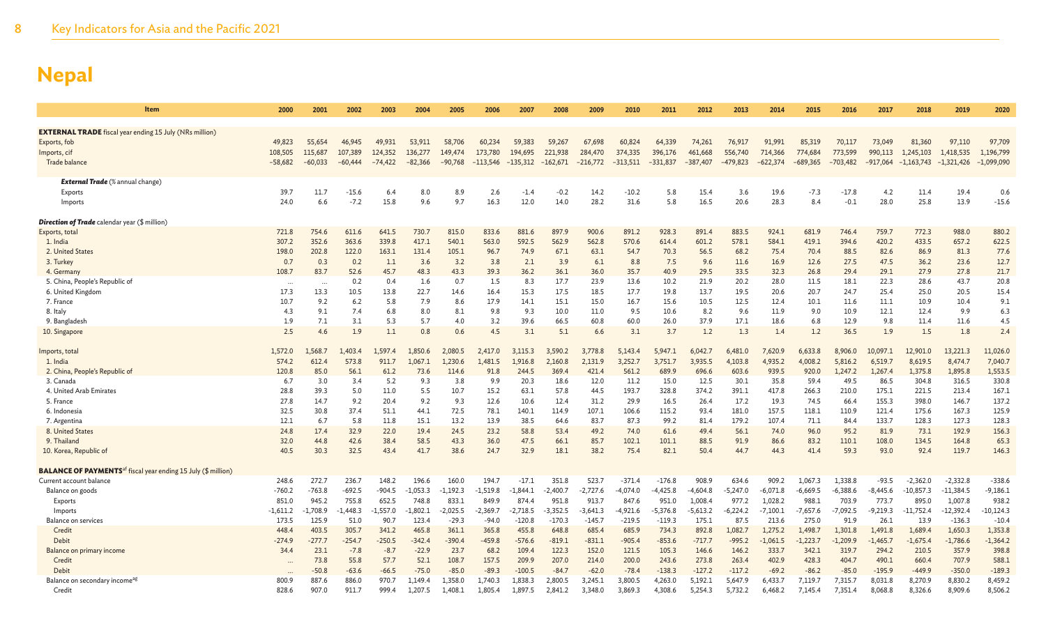| Item                                                                             | 2000                 | 2001                 | 2002                 | 2003                 | 2004                 | 2005               | 2006                  | 2007                  | 2008                  | 2009                  | 2010                  | 2011                  | 2012                  | 2013              | 2014                  | 2015                  | 2016              | 2017                  | 2018                      | 2019                      | 2020                |
|----------------------------------------------------------------------------------|----------------------|----------------------|----------------------|----------------------|----------------------|--------------------|-----------------------|-----------------------|-----------------------|-----------------------|-----------------------|-----------------------|-----------------------|-------------------|-----------------------|-----------------------|-------------------|-----------------------|---------------------------|---------------------------|---------------------|
|                                                                                  |                      |                      |                      |                      |                      |                    |                       |                       |                       |                       |                       |                       |                       |                   |                       |                       |                   |                       |                           |                           |                     |
| <b>EXTERNAL TRADE</b> fiscal year ending 15 July (NRs million)                   |                      |                      |                      |                      |                      |                    |                       |                       |                       |                       |                       |                       |                       |                   |                       |                       |                   |                       |                           |                           |                     |
| Exports, fob                                                                     | 49,823               | 55,654               | 46,945               | 49,931               | 53,911               | 58,706             | 60,234                | 59,383                | 59,267                | 67,698                | 60,824                | 64,339                | 74,261                | 76,917<br>556,740 | 91,991                | 85,319                | 70,117<br>773,599 | 73,049                | 81,360                    | 97,110                    | 97,709<br>1,196,799 |
| Imports, cif<br>Trade balance                                                    | 108,505<br>$-58,682$ | 115,687<br>$-60,033$ | 107,389<br>$-60,444$ | 124,352<br>$-74,422$ | 136,277<br>$-82,366$ | 149,474<br>-90,768 | 173,780<br>$-113,546$ | 194,695<br>$-135,312$ | 221,938<br>$-162,671$ | 284,470<br>$-216,772$ | 374,335<br>$-313,511$ | 396,176<br>$-331,837$ | 461,668<br>$-387,407$ | -479,823          | 714,366<br>$-622,374$ | 774,684<br>$-689,365$ | $-703,482$        | 990,113<br>$-917,064$ | 1,245,103<br>$-1,163,743$ | 1,418,535<br>$-1,321,426$ | $-1,099,090$        |
|                                                                                  |                      |                      |                      |                      |                      |                    |                       |                       |                       |                       |                       |                       |                       |                   |                       |                       |                   |                       |                           |                           |                     |
| <b>External Trade</b> (% annual change)                                          |                      |                      |                      |                      |                      |                    |                       |                       |                       |                       |                       |                       |                       |                   |                       |                       |                   |                       |                           |                           |                     |
| Exports                                                                          | 39.7                 | 11.7                 | $-15.6$              | 6.4                  | 8.0                  | 8.9                | 2.6                   | $-1.4$                | $-0.2$                | 14.2                  | $-10.2$               | 5.8                   | 15.4                  | 3.6               | 19.6                  | $-7.3$                | $-17.8$           | 4.2                   | 11.4                      | 19.4                      | 0.6                 |
| Imports                                                                          | 24.0                 | 6.6                  | $-7.2$               | 15.8                 | 9.6                  | 9.7                | 16.3                  | 12.0                  | 14.0                  | 28.2                  | 31.6                  | 5.8                   | 16.5                  | 20.6              | 28.3                  | 8.4                   | $-0.1$            | 28.0                  | 25.8                      | 13.9                      | $-15.6$             |
| Direction of Trade calendar year (\$ million)                                    |                      |                      |                      |                      |                      |                    |                       |                       |                       |                       |                       |                       |                       |                   |                       |                       |                   |                       |                           |                           |                     |
| Exports, total                                                                   | 721.8                | 754.6                | 611.6                | 641.5                | 730.7                | 815.0              | 833.6                 | 881.6                 | 897.9                 | 900.6                 | 891.2                 | 928.3                 | 891.4                 | 883.5             | 924.1                 | 681.9                 | 746.4             | 759.7                 | 772.3                     | 988.0                     | 880.2               |
| 1. India                                                                         | 307.2                | 352.6                | 363.6                | 339.8                | 417.1                | 540.1              | 563.0                 | 592.5                 | 562.9                 | 562.8                 | 570.6                 | 614.4                 | 601.2                 | 578.1             | 584.1                 | 419.1                 | 394.6             | 420.2                 | 433.5                     | 657.2                     | 622.5               |
| 2. United States                                                                 | 198.0                | 202.8                | 122.0                | 163.1                | 131.4                | 105.1              | 96.7                  | 74.9                  | 67.1                  | 63.1                  | 54.7                  | 70.3                  | 56.5                  | 68.2              | 75.4                  | 70.4                  | 88.5              | 82.6                  | 86.9                      | 81.3                      | 77.6                |
| 3. Turkey                                                                        | 0.7                  | 0.3                  | 0.2                  | 1.1                  | 3.6                  | 3.2                | 3.8                   | 2.1                   | 3.9                   | 6.1                   | 8.8                   | 7.5                   | 9.6                   | 11.6              | 16.9                  | 12.6                  | 27.5              | 47.5                  | 36.2                      | 23.6                      | 12.7                |
| 4. Germany                                                                       | 108.7                | 83.7                 | 52.6                 | 45.7                 | 48.3                 | 43.3               | 39.3                  | 36.2                  | 36.1                  | 36.0                  | 35.7                  | 40.9                  | 29.5                  | 33.5              | 32.3                  | 26.8                  | 29.4              | 29.1                  | 27.9                      | 27.8                      | 21.7                |
| 5. China, People's Republic of                                                   | $\cdots$             | $\cdots$             | 0.2                  | 0.4                  | 1.6                  | 0.7                | 1.5                   | 8.3                   | 17.7                  | 23.9                  | 13.6                  | 10.2                  | 21.9                  | 20.2              | 28.0                  | 11.5                  | 18.1              | 22.3                  | 28.6                      | 43.7                      | 20.8                |
| 6. United Kingdom                                                                | 17.3                 | 13.3                 | 10.5                 | 13.8                 | 22.7                 | 14.6               | 16.4                  | 15.3                  | 17.5                  | 18.5                  | 17.7                  | 19.8                  | 13.7                  | 19.5              | 20.6                  | 20.7                  | 24.7              | 25.4                  | 25.0                      | 20.5                      | 15.4                |
| 7. France                                                                        | 10.7                 | 9.2                  | 6.2                  | 5.8                  | 7.9                  | 8.6                | 17.9                  | 14.1                  | 15.1                  | 15.0                  | 16.7                  | 15.6                  | 10.5                  | 12.5              | 12.4                  | 10.1                  | 11.6              | 11.1                  | 10.9                      | 10.4                      | 9.1                 |
| 8. Italy                                                                         | 4.3                  | 9.1                  | 7.4                  | 6.8                  | 8.0                  | 8.1                | 9.8                   | 9.3                   | 10.0                  | 11.0                  | 9.5                   | 10.6                  | 8.2                   | 9.6               | 11.9                  | 9.0                   | 10.9              | 12.1                  | 12.4                      | 9.9                       | 6.3                 |
| 9. Bangladesh                                                                    | 1.9                  | 7.1                  | 3.1                  | 5.3                  | 5.7                  | 4.0                | 3.2                   | 39.6                  | 66.5                  | 60.8                  | 60.0                  | 26.0                  | 37.9                  | 17.1              | 18.6                  | 6.8                   | 12.9              | 9.8                   | 11.4                      | 11.6                      | 4.5                 |
| 10. Singapore                                                                    | 2.5                  | 4.6                  | 1.9                  | 1.1                  | 0.8                  | 0.6                | 4.5                   | 3.1                   | 5.1                   | 6.6                   | 3.1                   | 3.7                   | 1.2                   | 1.3               | 1.4                   | 1.2                   | 36.5              | 1.9                   | 1.5                       | 1.8                       | 2.4                 |
| Imports, total                                                                   | 1,572.0              | 1.568.7              | ,403.4               | 1.597.4              | .850.6               | 2.080.5            | 2,417.0               | 3.115.3               | 3.590.2               | 3.778.8               | 5.143.4               | 5.947.1               | 6.042.7               | 6,481.0           | 7.620.9               | 6,633.8               | 8.906.0           | 10.097.1              | 12,901.0                  | 13.221.3                  | 11,026.0            |
| 1. India                                                                         | 574.2                | 612.4                | 573.8                | 911.7                | .,067.1              | 1,230.6            | 1,481.5               | 1,916.8               | 2,160.8               | 2,131.9               | 3,252.7               | 3,751.7               | 3,935.5               | 4,103.8           | 4,935.2               | 4,008.2               | 5,816.2           | 6,519.7               | 8,619.5                   | 8,474.7                   | 7,040.7             |
| 2. China, People's Republic of                                                   | 120.8                | 85.0                 | 56.1                 | 61.2                 | 73.6                 | 114.6              | 91.8                  | 244.5                 | 369.4                 | 421.4                 | 561.2                 | 689.9                 | 696.6                 | 603.6             | 939.5                 | 920.0                 | 1,247.2           | 1,267.4               | 1,375.8                   | 1,895.8                   | 1,553.5             |
| 3. Canada                                                                        | 6.7                  | 3.0                  | 3.4                  | 5.2                  | 9.3                  | 3.8                | 9.9                   | 20.3                  | 18.6                  | 12.0                  | 11.2                  | 15.0                  | 12.5                  | 30.1              | 35.8                  | 59.4                  | 49.5              | 86.5                  | 304.8                     | 316.5                     | 330.8               |
| 4. United Arab Emirates                                                          | 28.8                 | 39.3                 | 5.0                  | 11.0                 | 5.5                  | 10.7               | 15.2                  | 63.1                  | 57.8                  | 44.5                  | 193.7                 | 328.8                 | 374.2                 | 391.1             | 417.8                 | 266.3                 | 210.0             | 175.1                 | 221.5                     | 213.4                     | 167.1               |
| 5. France                                                                        | 27.8                 | 14.7                 | 9.2                  | 20.4                 | 9.2                  | 9.3                | 12.6                  | 10.6                  | 12.4                  | 31.2                  | 29.9                  | 16.5                  | 26.4                  | 17.2              | 19.3                  | 74.5                  | 66.4              | 155.3                 | 398.0                     | 146.7                     | 137.2               |
| 6. Indonesia                                                                     | 32.5                 | 30.8                 | 37.4                 | 51.1                 | 44.1                 | 72.5               | 78.1                  | 140.1                 | 114.9                 | 107.1                 | 106.6                 | 115.2                 | 93.4                  | 181.0             | 157.5                 | 118.1                 | 110.9             | 121.4                 | 175.6                     | 167.3                     | 125.9               |
| 7. Argentina                                                                     | 12.1                 | 6.7                  | 5.8                  | 11.8                 | 15.1                 | 13.2               | 13.9                  | 38.5                  | 64.6                  | 83.7                  | 87.3                  | 99.2                  | 81.4                  | 179.2             | 107.4                 | 71.1                  | 84.4              | 133.7                 | 128.3                     | 127.3                     | 128.3               |
| 8. United States                                                                 | 24.8                 | 17.4                 | 32.9                 | 22.0                 | 19.4                 | 24.5               | 23.2                  | 58.8                  | 53.4                  | 49.2                  | 74.0                  | 61.6                  | 49.4                  | 56.1              | 74.0                  | 96.0                  | 95.2              | 81.9                  | 73.1                      | 192.9                     | 156.3               |
| 9. Thailand                                                                      | 32.0                 | 44.8                 | 42.6                 | 38.4                 | 58.5                 | 43.3               | 36.0                  | 47.5                  | 66.1                  | 85.7                  | 102.1                 | 101.1                 | 88.5                  | 91.9              | 86.6                  | 83.2                  | 110.1             | 108.0                 | 134.5                     | 164.8                     | 65.3                |
| 10. Korea, Republic of                                                           | 40.5                 | 30.3                 | 32.5                 | 43.4                 | 41.7                 | 38.6               | 24.7                  | 32.9                  | 18.1                  | 38.2                  | 75.4                  | 82.1                  | 50.4                  | 44.7              | 44.3                  | 41.4                  | 59.3              | 93.0                  | 92.4                      | 119.7                     | 146.3               |
| <b>BALANCE OF PAYMENTS</b> <sup>af</sup> fiscal year ending 15 July (\$ million) |                      |                      |                      |                      |                      |                    |                       |                       |                       |                       |                       |                       |                       |                   |                       |                       |                   |                       |                           |                           |                     |
| Current account balance                                                          | 248.6                | 272.7                | 236.7                | 148.2                | 196.6                | 160.0              | 194.7                 | $-17.1$               | 351.8                 | 523.7                 | $-371.4$              | $-176.8$              | 908.9                 | 634.6             | 909.2                 | 1,067.3               | 1,338.8           | $-93.5$               | $-2,362.0$                | $-2,332.8$                | $-338.6$            |
| Balance on goods                                                                 | $-760.2$             | $-763.8$             | $-692.5$             | $-904.5$             | $-1,053.3$           | $-1,192.3$         | $-1,519.8$            | $-1.844.1$            | $-2,400.7$            | $-2,727.6$            | $-4,074.0$            | $-4,425.8$            | $-4,604.8$            | $-5,247.0$        | $-6,071.8$            | $-6,669.5$            | $-6,388.6$        | $-8,445.6$            | $-10,857.3$               | $-11,384.5$               | $-9,186.1$          |
| Exports                                                                          | 851.0                | 945.2                | 755.8                | 652.5                | 748.8                | 833.1              | 849.9                 | 874.4                 | 951.8                 | 913.7                 | 847.6                 | 951.0                 | 1,008.4               | 977.2             | 1,028.2               | 988.1                 | 703.9             | 773.7                 | 895.0                     | 1,007.8                   | 938.2               |
| Imports                                                                          | $-1,611.2$           | $-1,708.9$           | ,448.3               | $-1,557.0$           | $-1,802.1$           | $-2,025.5$         | $-2,369.7$            | $-2,718.5$            | $-3,352.5$            | $-3,641.3$            | 4,921.6               | $-5,376.8$            | $-5,613.2$            | $-6,224.2$        | $-7,100.1$            | $-7,657.6$            | $-7,092.5$        | $-9,219.3$            | $-11,752.4$               | $-12,392.4$               | $-10, 124.3$        |
| Balance on services                                                              | 173.5                | 125.9                | 51.0                 | 90.7                 | 123.4                | $-29.3$            | $-94.0$               | $-120.8$              | $-170.3$              | $-145.7$              | $-219.5$              | $-119.3$              | 175.1                 | 87.5              | 213.6                 | 275.0                 | 91.9              | 26.1                  | 13.9                      | $-136.3$                  | $-10.4$             |
| Credit                                                                           | 448.4                | 403.5                | 305.7                | 341.2                | 465.8                | 361.1              | 365.8                 | 455.8                 | 648.8                 | 685.4                 | 685.9                 | 734.3                 | 892.8                 | 1,082.7           | 1,275.2               | 1,498.7               | 1,301.8           | 1,491.8               | 1,689.4                   | 1,650.3                   | 1,353.8             |
| Debit                                                                            | $-274.9$             | $-277.7$             | $-254.7$             | $-250.5$             | $-342.4$             | $-390.4$           | $-459.8$              | $-576.6$              | $-819.1$              | $-831.1$              | $-905.4$              | $-853.6$              | $-717.7$              | $-995.2$          | $-1,061.5$            | $-1,223.7$            | $-1,209.9$        | $-1,465.7$            | $-1,675.4$                | $-1,786.6$                | $-1,364.2$          |
| Balance on primary income                                                        | 34.4                 | 23.1                 | $-7.8$               | $-8.7$               | $-22.9$              | 23.7               | 68.2                  | 109.4                 | 122.3                 | 152.0                 | 121.5                 | 105.3                 | 146.6                 | 146.2             | 333.7                 | 342.1                 | 319.7             | 294.2                 | 210.5                     | 357.9                     | 398.8               |
| Credit                                                                           | $\ddots$             | 73.8                 | 55.8                 | 57.7                 | 52.1                 | 108.7              | 157.5                 | 209.9                 | 207.0                 | 214.0                 | 200.0                 | 243.6                 | 273.8                 | 263.4             | 402.9                 | 428.3                 | 404.7             | 490.1                 | 660.4                     | 707.9                     | 588.1               |
| Debit                                                                            |                      | $-50.8$              | $-63.6$              | $-66.5$              | $-75.0$              | $-85.0$            | $-89.3$               | $-100.5$              | $-84.7$               | $-62.0$               | $-78.4$               | $-138.3$              | $-127.2$              | $-117.2$          | $-69.2$               | $-86.2$               | $-85.0$           | $-195.9$              | $-449.9$                  | $-350.0$                  | $-189.3$            |
| Balance on secondary income <sup>ag</sup>                                        | 800.9                | 887.6                | 886.0                | 970.7                | 1.149.4              | 1.358.0            | 1.740.3               | 1.838.3               | 2.800.5               | 3.245.1               | 3.800.5               | 4,263.0               | 5.192.1               | 5,647.9           | 6,433.7               | 7,119.7               | 7,315.7           | 8,031.8               | 8,270.9                   | 8,830.2                   | 8,459.2             |
| Credit                                                                           | 828.6                | 907.0                | 911.7                | 999.4                | 1,207.5              | 1,408.1            | 1,805.4               | 1,897.5               | 2,841.2               | 3,348.0               | 3,869.3               | 4,308.6               | 5,254.3               | 5,732.2           | 6,468.2               | 7,145.4               | 7,351.4           | 8,068.8               | 8,326.6                   | 8,909.6                   | 8,506.2             |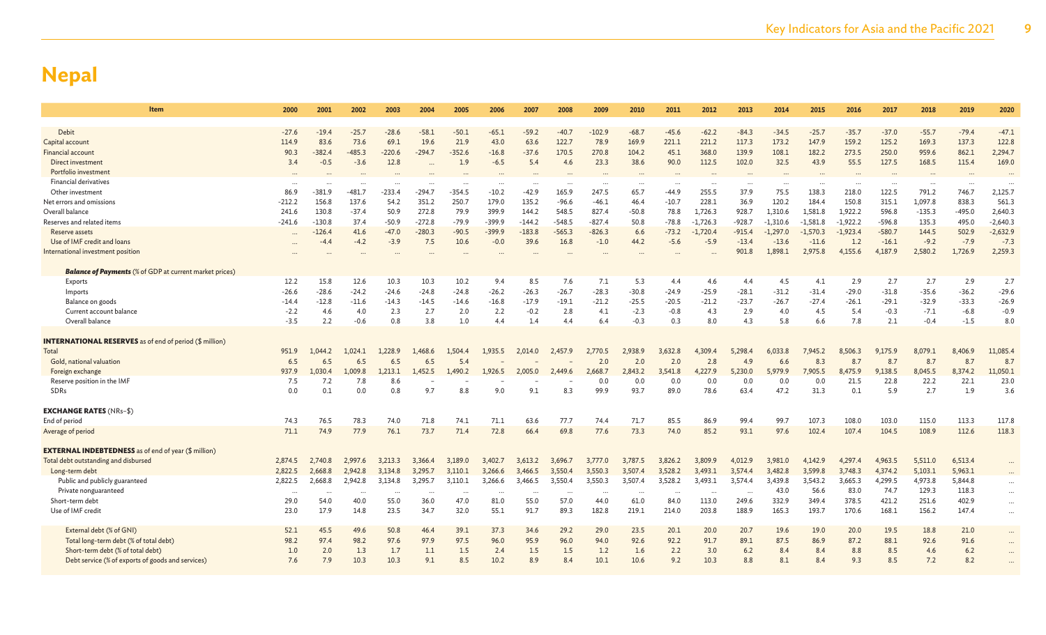| Item                                                           | 2000              | 2001           | 2002           | 2003           | 2004           | 2005           | 2006                 | 2007              | 2008           | 2009           | 2010                 | 2011              | 2012           | 2013           | 2014           | 2015           | 2016           | 2017              | 2018              | 2019              | 2020              |
|----------------------------------------------------------------|-------------------|----------------|----------------|----------------|----------------|----------------|----------------------|-------------------|----------------|----------------|----------------------|-------------------|----------------|----------------|----------------|----------------|----------------|-------------------|-------------------|-------------------|-------------------|
| <b>Debit</b>                                                   | $-27.6$           | $-19.4$        | $-25.7$        | $-28.6$        | $-58.1$        | $-50.1$        | $-65.1$              | $-59.2$           | $-40.7$        | $-102.9$       | $-68.7$              | $-45.6$           | $-62.2$        | $-84.3$        | $-34.5$        | $-25.7$        | $-35.7$        | $-37.0$           | $-55.7$           | $-79.4$           | $-47.1$           |
| Capital account                                                | 114.9             | 83.6           | 73.6           | 69.1           | 19.6           | 21.9           | 43.0                 | 63.6              | 122.7          | 78.9           | 169.9                | 221.1             | 221.2          | 117.3          | 173.2          | 147.9          | 159.2          | 125.2             | 169.3             | 137.3             | 122.8             |
| Financial account                                              | 90.3              | $-382.4$       | $-485.3$       | $-220.6$       | $-294.7$       | $-352.6$       | $-16.8$              | $-37.6$           | 170.5          | 270.8          | 104.2                | 45.1              | 368.0          | 139.9          | 108.1          | 182.2          | 273.5          | 250.0             | 959.6             | 862.1             | 2,294.7           |
| Direct investment                                              | 3.4               | $-0.5$         | $-3.6$         | 12.8           |                | 1.9            | $-6.5$               | 5.4               | 4.6            | 23.3           | 38.6                 | 90.0              | 112.5          | 102.0          | 32.5           | 43.9           | 55.5           | 127.5             | 168.5             | 115.4             | 169.0             |
| Portfolio investment                                           |                   |                |                |                |                |                |                      |                   |                |                |                      |                   |                |                |                |                |                |                   |                   |                   |                   |
| <b>Financial derivatives</b>                                   | $\cdots$          | $\cdots$       |                | $\cdots$       | $\ddotsc$      | $\cdots$       | $\cdots$             | $\cdots$          | $\cdots$       | $\ddotsc$      | $\cdots$             | $\cdots$          | $\cdots$       | $\cdots$       | $\cdots$       | $\cdots$       | $\cdots$       | $\cdots$          | $\cdots$          |                   |                   |
| Other investment                                               | 86.9              | $-381.9$       | -481.7         | $-233.4$       | -294.7         | $-354.5$       | $-10.2$              | $-42.9$           | 165.9          | 247.5          | 65.7                 | $-44.9$           | 255.5          | 37.9           | 75.5           | 138.3          | 218.0          | 122.5             | 791.2             | 746.7             | 2,125.7           |
| Net errors and omissions                                       | $-212.2$          | 156.8          | 137.6          | 54.2           | 351.2          | 250.7          | 179.0                | 135.2             | $-96.6$        | $-46.1$        | 46.4                 | $-10.7$           | 228.1          | 36.9           | 120.2          | 184.4          | 150.8          | 315.1             | 1,097.8           | 838.3             | 561.3             |
| Overall balance                                                | 241.6             | 130.8          | $-37.4$        | 50.9           | 272.8          | 79.9           | 399.9                | 144.2             | 548.5          | 827.4          | $-50.8$              | 78.8              | 1,726.3        | 928.7          | 1,310.6        | 1,581.8        | 1,922.2        | 596.8             | $-135.3$          | $-495.0$          | 2,640.3           |
| Reserves and related items                                     | $-241.6$          | $-130.8$       | 37.4           | $-50.9$        | $-272.8$       | $-79.9$        | $-399.9$             | $-144.2$          | $-548.5$       | $-827.4$       | 50.8                 | $-78.8$           | $-1,726.3$     | $-928.7$       | $-1,310.6$     | $-1.581.8$     | $-1,922.2$     | $-596.8$          | 135.3             | 495.0             | $-2,640.3$        |
| Reserve assets                                                 | $\cdots$          | $-126.4$       | 41.6           | $-47.0$        | $-280.3$       | $-90.5$        | $-399.9$             | $-183.8$          | $-565.3$       | $-826.3$       | 6.6                  | $-73.2$           | $-1,720.4$     | $-915.4$       | $-1,297.0$     | $-1,570.3$     | $-1,923.4$     | $-580.7$          | 144.5             | 502.9             | $-2,632.9$        |
| Use of IMF credit and loans                                    |                   | $-4.4$         | $-4.2$         | $-3.9$         | 7.5            | 10.6           | $-0.0$               | 39.6              | 16.8           | $-1.0$         | 44.2                 | $-5.6$            | $-5.9$         | $-13.4$        | $-13.6$        | $-11.6$        | 1.2            | $-16.1$           | $-9.2$            | $-7.9$            | $-7.3$            |
| International investment position                              |                   |                |                |                |                |                |                      |                   |                |                |                      |                   |                | 901.8          | 1,898.1        | 2,975.8        | 4,155.6        | 4,187.9           | 2,580.2           | 1,726.9           | 2,259.3           |
|                                                                |                   |                |                |                |                |                |                      |                   |                |                |                      |                   |                |                |                |                |                |                   |                   |                   |                   |
| <b>Balance of Payments</b> (% of GDP at current market prices) |                   |                |                |                |                |                |                      |                   |                |                |                      |                   |                |                |                |                |                |                   |                   |                   |                   |
| Exports                                                        | 12.2              | 15.8           | 12.6           | 10.3           | 10.3           | 10.2           | 9.4                  | 8.5               | 7.6            | 7.1            | 5.3                  | 4.4               | 4.6            | 4.4            | 4.5            | 4.1            | 2.9            | 2.7               | 2.7               | 2.9               | 2.7               |
| Imports                                                        | $-26.6$           | $-28.6$        | $-24.2$        | $-24.6$        | $-24.8$        | $-24.8$        | $-26.2$              | $-26.3$           | $-26.7$        | $-28.3$        | $-30.8$              | $-24.9$           | $-25.9$        | $-28.1$        | $-31.2$        | $-31.4$        | $-29.0$        | $-31.8$           | $-35.6$           | $-36.2$           | $-29.6$           |
| Balance on goods                                               | $-14.4$<br>$-2.2$ | $-12.8$<br>4.6 | $-11.6$<br>4.0 | $-14.3$<br>2.3 | $-14.5$<br>2.7 | $-14.6$<br>2.0 | $-16.8$<br>2.2       | $-17.9$<br>$-0.2$ | $-19.1$<br>2.8 | $-21.2$<br>4.1 | $-25.5$<br>$-2.3$    | $-20.5$<br>$-0.8$ | $-21.2$<br>4.3 | $-23.7$<br>2.9 | $-26.7$<br>4.0 | $-27.4$<br>4.5 | $-26.1$<br>5.4 | $-29.1$<br>$-0.3$ | $-32.9$<br>$-7.1$ | $-33.3$<br>$-6.8$ | $-26.9$<br>$-0.9$ |
| Current account balance<br>Overall balance                     | $-3.5$            | 2.2            | $-0.6$         | 0.8            | 3.8            | 1.0            | 4.4                  | 1.4               | 4.4            | 6.4            | $-0.3$               | 0.3               | 8.0            | 4.3            | 5.8            | 6.6            | 7.8            | 2.1               | $-0.4$            | $-1.5$            | 8.0               |
|                                                                |                   |                |                |                |                |                |                      |                   |                |                |                      |                   |                |                |                |                |                |                   |                   |                   |                   |
| <b>INTERNATIONAL RESERVES</b> as of end of period (\$ million) |                   |                |                |                |                |                |                      |                   |                |                |                      |                   |                |                |                |                |                |                   |                   |                   |                   |
| Total                                                          | 951.9             | 1,044.2        | 1,024.1        | 1,228.9        | ,468.6         | 1,504.4        | 1,935.5              | 2.014.0           | 2,457.9        | 2,770.5        | 2,938.9              | 3,632.8           | 4,309.4        | 5,298.4        | 6,033.8        | 7,945.2        | 8,506.3        | 9,175.9           | 8,079.1           | 8,406.9           | 11,085.4          |
| Gold, national valuation                                       | 6.5               | 6.5            | 6.5            | 6.5            | 6.5            | 5.4            |                      |                   |                | 2.0            | 2.0                  | 2.0               | 2.8            | 4.9            | 6.6            | 8.3            | 8.7            | 8.7               | 8.7               | 8.7               | 8.7               |
| Foreign exchange                                               | 937.9             | 1,030.4        | 1,009.8        | 1,213.1        | .,452.5        | 1,490.2        | 1,926.5              | 2,005.0           | 2,449.6        | 2,668.7        | 2,843.2              | 3,541.8           | 4,227.9        | 5,230.0        | 5,979.9        | 7,905.5        | 8,475.9        | 9,138.5           | 8,045.5           | 8,374.2           | 11,050.1          |
| Reserve position in the IMF                                    | 7.5               | 7.2            | 7.8            | 8.6            |                |                |                      |                   |                | 0.0            | 0.0                  | 0.0               | 0.0            | 0.0            | 0.0            | 0.0            | 21.5           | 22.8              | 22.2              | 22.1              | 23.0              |
| SDRs                                                           | 0.0               | 0.1            | 0.0            | 0.8            | 9.7            | 8.8            | 9.0                  | 9.1               | 8.3            | 99.9           | 93.7                 | 89.0              | 78.6           | 63.4           | 47.2           | 31.3           | 0.1            | 5.9               | 2.7               | 1.9               | 3.6               |
|                                                                |                   |                |                |                |                |                |                      |                   |                |                |                      |                   |                |                |                |                |                |                   |                   |                   |                   |
| <b>EXCHANGE RATES (NRs-\$)</b>                                 |                   |                |                |                |                |                |                      |                   |                |                |                      |                   |                |                |                |                |                |                   |                   |                   |                   |
| End of period                                                  | 74.3              | 76.5           | 78.3           | 74.0           | 71.8           | 74.1           | 71.1                 | 63.6              | 77.7           | 74.4           | 71.7                 | 85.5              | 86.9           | 99.4           | 99.7           | 107.3          | 108.0          | 103.0             | 115.0             | 113.3             | 117.8             |
| Average of period                                              | 71.1              | 74.9           | 77.9           | 76.1           | 73.7           | 71.4           | 72.8                 | 66.4              | 69.8           | 77.6           | 73.3                 | 74.0              | 85.2           | 93.1           | 97.6           | 102.4          | 107.4          | 104.5             | 108.9             | 112.6             | 118.3             |
|                                                                |                   |                |                |                |                |                |                      |                   |                |                |                      |                   |                |                |                |                |                |                   |                   |                   |                   |
| <b>EXTERNAL INDEBTEDNESS</b> as of end of year (\$ million)    |                   |                |                |                |                |                |                      |                   |                |                |                      |                   |                |                |                |                |                |                   |                   |                   |                   |
| Total debt outstanding and disbursed                           | 2,874.5           | 2,740.8        | 2,997.6        | 3,213.3        | 3,366.4        | 3,189.0        | 3,402.7              | 3,613.2           | 3,696.7        | 3,777.0        | 3,787.5              | 3,826.2           | 3,809.9        | 4,012.9        | 3,981.0        | 4,142.9        | 4,297.4        | 4,963.5           | 5,511.0           | 6,513.4           |                   |
| Long-term debt                                                 | 2,822.5           | 2,668.8        | 2,942.8        | 3,134.8        | 3,295.7        | 3,110.1        | 3,266.6              | 3,466.5           | 3,550.4        | 3,550.3        | 3,507.4              | 3,528.2           | 3,493.1        | 3,574.4        | 3,482.8        | 3,599.8        | 3,748.3        | 4,374.2           | 5,103.1           | 5,963.1           |                   |
| Public and publicly guaranteed                                 | 2,822.5           | 2.668.8        | 2.942.8        | 3.134.8        | 3,295.7        | 3,110.1        | 3,266.6              | 3,466.5           | 3.550.4        | 3,550.3        | 3,507.4              | 3,528.2           | 3,493.1        | 3,574.4        | 3,439.8        | 3,543.2        | 3,665.3        | 4,299.5           | 4,973.8           | 5,844.8           | $\cdots$          |
| Private nonguaranteed                                          | $\cdots$          | $\cdots$       | $\ddotsc$      | $\cdots$       | $\cdots$       |                | $\ddot{\phantom{a}}$ |                   | $\cdots$       | $\cdots$       | $\ddot{\phantom{a}}$ | $\ddotsc$         | $\ddots$       | $\ddotsc$      | 43.0           | 56.6           | 83.0           | 74.7              | 129.3             | 118.3             | $\cdots$          |
| Short-term debt                                                | 29.0              | 54.0           | 40.0           | 55.0           | 36.0           | 47.0           | 81.0                 | 55.0              | 57.0           | 44.0           | 61.0                 | 84.0              | 113.0          | 249.6          | 332.9          | 349.4          | 378.5          | 421.2             | 251.6             | 402.9             | $\cdots$          |
| Use of IMF credit                                              | 23.0              | 17.9           | 14.8           | 23.5           | 34.7           | 32.0           | 55.1                 | 91.7              | 89.3           | 182.8          | 219.1                | 214.0             | 203.8          | 188.9          | 165.3          | 193.7          | 170.6          | 168.1             | 156.2             | 147.4             | $\ldots$          |
| External debt (% of GNI)                                       | 52.1              | 45.5           | 49.6           | 50.8           | 46.4           | 39.1           | 37.3                 | 34.6              | 29.2           | 29.0           | 23.5                 | 20.1              | 20.0           | 20.7           | 19.6           | 19.0           | 20.0           | 19.5              | 18.8              | 21.0              | $\cdots$          |
| Total long-term debt (% of total debt)                         | 98.2              | 97.4           | 98.2           | 97.6           | 97.9           | 97.5           | 96.0                 | 95.9              | 96.0           | 94.0           | 92.6                 | 92.2              | 91.7           | 89.1           | 87.5           | 86.9           | 87.2           | 88.1              | 92.6              | 91.6              | $\cdots$          |
| Short-term debt (% of total debt)                              | 1.0               | 2.0            | 1.3            | 1.7            | 1.1            | 1.5            | 2.4                  | 1.5               | 1.5            | 1.2            | 1.6                  | 2.2               | 3.0            | 6.2            | 8.4            | 8.4            | 8.8            | 8.5               | 4.6               | 6.2               | $\cdots$          |
| Debt service (% of exports of goods and services)              | 7.6               | 7.9            | 10.3           | 10.3           | 9.1            | 8.5            | 10.2                 | 8.9               | 8.4            | 10.1           | 10.6                 | 9.2               | 10.3           | 8.8            | 8.1            | 8.4            | 9.3            | 8.5               | 7.2               | 8.2               |                   |
|                                                                |                   |                |                |                |                |                |                      |                   |                |                |                      |                   |                |                |                |                |                |                   |                   |                   |                   |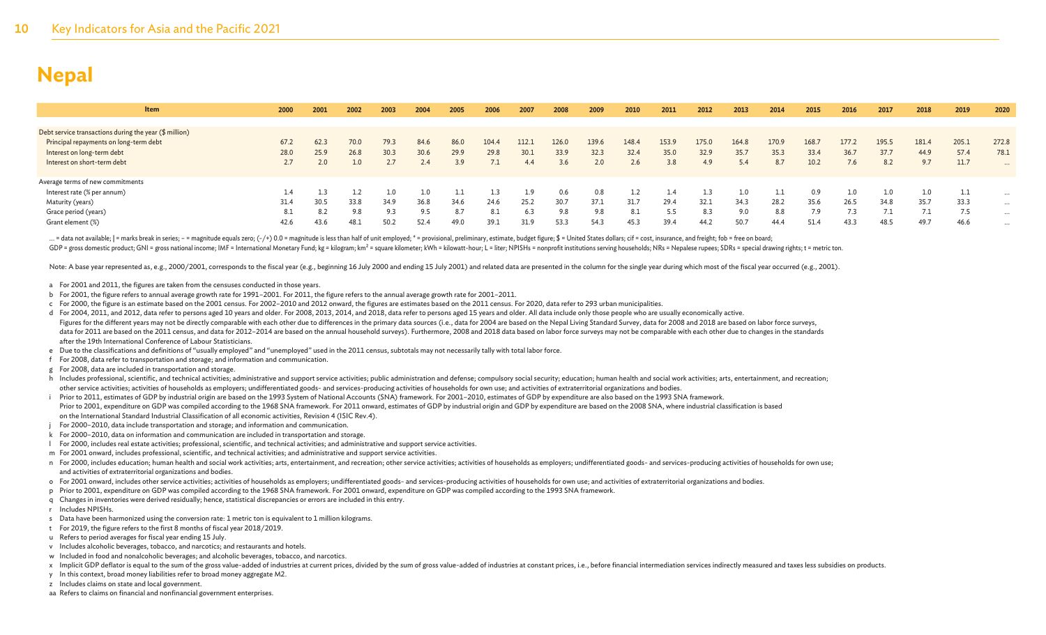| <b>Item</b>                                            | 2000 | 2001 | 2002 | 2003 | 2004 | 2005 | 2006  | 2007  | 2008  | 2009  | 2010  | 2011  | 2012  | 2013  | 2014  | 2015  | 2016  | 2017  | 2018  | 2019    | 2020     |
|--------------------------------------------------------|------|------|------|------|------|------|-------|-------|-------|-------|-------|-------|-------|-------|-------|-------|-------|-------|-------|---------|----------|
|                                                        |      |      |      |      |      |      |       |       |       |       |       |       |       |       |       |       |       |       |       |         |          |
| Debt service transactions during the year (\$ million) |      |      |      |      |      |      |       |       |       |       |       |       |       |       |       |       |       |       |       |         |          |
| Principal repayments on long-term debt                 | 67.2 | 62.3 | 70.0 | 79.3 | 84.6 | 86.0 | 104.4 | 112.: | 126.0 | 139.6 | 148.4 | 153.9 | 175.0 | 164.8 | 170.9 | 168.7 | 177.2 | 195.5 | 181.4 | 205.1   | 272.8    |
| Interest on long-term debt                             | 28.0 | 25.9 | 26.8 | 30.3 | 30.6 | 29.9 | 29.8  | 30.1  | 33.9  | 32.3  | 32.4  | 35.0  | 32.9  | 35.7  | 35.3  | 33.4  | 36.7  | 37.7  | 44.9  | 57.4    | 78.1     |
| Interest on short-term debt                            |      |      |      |      |      | 3.9  |       | 4.4   | 3.6   | 2.0   | 2.6   | 3.8   | 4.9   | 5.4   | 8.7   | 10.2  | 7.6   |       | 9.7   | 11.7    | $\cdots$ |
|                                                        |      |      |      |      |      |      |       |       |       |       |       |       |       |       |       |       |       |       |       |         |          |
| Average terms of new commitments                       |      |      |      |      |      |      |       |       |       |       |       |       |       |       |       |       |       |       |       |         |          |
| Interest rate (% per annum)                            |      |      |      |      |      |      |       |       | 0.6   | 0.8   |       | 1.4   |       | 1.0   |       | 0.9   | 1.0   |       |       | للمحامل | $\cdots$ |
| Maturity (years)                                       | 31.4 | 30.5 | 33.8 | 34.9 | 36.8 | 34.6 | 24.6  | 25.2  | 30.7  | 37.1  | 31.7  | 29.4  | 32.1  | 34.3  | 28.2  | 35.6  | 26.5  | 34.8  | 35.7  | 33.3    | $\cdots$ |
| Grace period (years)                                   | 8.1  | 8.2  | 9.8  |      | 9.5  | 8.7  |       | 6.3   | 9.8   | 9.8   | 8.1   | 5.5   | 8.3   | 9.0   | 8.8   | 7.9   |       |       |       | 7.5     | $\cdots$ |
| Grant element (%)                                      | 42.6 | 43.6 | 48.1 | 50.2 | 52.4 | 49.0 | 39.1  | 31.9  | 53.3  | 54.3  | 45.3  | 39.4  | 44.2  | 50.7  | 44.4  | 51.4  | 43.3  | 48.5  | 49.7  | 46.6    | $\cdots$ |

... = data not available; | = marks break in series; - = magnitude equals zero; (-/+) 0.0 = magnitude is less than half of unit employed; \* = provisional, preliminary, estimate, budget figure; \$ = United States dollars; ci GDP = gross domestic product; GNI = gross national income; IMF = International Monetary Fund; kg = kilogram; km<sup>2</sup> = square kilometer; kWh = kilowatt-hour; L = liter; NPISHs = nonprofit institutions serving households; NRs

Note: A base year represented as, e.g., 2000/2001, corresponds to the fiscal year (e.g., beginning 16 July 2000 and ending 15 July 2001) and related data are presented in the column for the single year during which most of

- a For 2001 and 2011, the figures are taken from the censuses conducted in those years.
- b For 2001, the figure refers to annual average growth rate for 1991–2001. For 2011, the figure refers to the annual average growth rate for 2001–2011.
- c For 2000, the figure is an estimate based on the 2001 census. For 2002–2010 and 2012 onward, the figures are estimates based on the 2011 census. For 2020, data refer to 293 urban municipalities.
- d For 2004, 2011, and 2012, data refer to persons aged 10 years and older. For 2008, 2013, 2014, and 2018, data refer to persons aged 15 years and older. All data include only those people who are usually economically acti Figures for the different years may not be directly comparable with each other due to differences in the primary data sources (i.e., data for 2004 are based on the Nepal Living Standard Survey, data for 2008 and 2018 are b data for 2011 are based on the 2011 census, and data for 2012-2014 are based on the annual household surveys). Furthermore, 2008 and 2018 data based on labor force surveys may not be comparable with each other due to chang after the 19th International Conference of Labour Statisticians.
- e Due to the classifications and definitions of "usually employed" and "unemployed" used in the 2011 census, subtotals may not necessarily tally with total labor force.
- f For 2008, data refer to transportation and storage; and information and communication.
- g For 2008, data are included in transportation and storage.
- h Includes professional, scientific, and technical activities; administrative and support service activities: public administration and defense; compulsory social security; education; human health and social work activitie other service activities; activities of households as employers; undifferentiated goods- and services-producing activities of households for own use; and activities of extraterritorial organizations and bodies.
- i Prior to 2011, estimates of GDP by industrial origin are based on the 1993 System of National Accounts (SNA) framework. For 2001-2010, estimates of GDP by expenditure are also based on the 1993 SNA framework. Prior to 2001, expenditure on GDP was compiled according to the 1968 SNA framework. For 2011 onward, estimates of GDP by industrial origin and GDP by expenditure are based on the 2008 SNA, where industrial classification i on the International Standard Industrial Classification of all economic activities, Revision 4 (ISIC Rev.4).
- j For 2000–2010, data include transportation and storage; and information and communication.
- k For 2000–2010, data on information and communication are included in transportation and storage.
- l For 2000, includes real estate activities; professional, scientific, and technical activities; and administrative and support service activities.
- m For 2001 onward, includes professional, scientific, and technical activities; and administrative and support service activities.
- n For 2000, includes education; human health and social work activities; arts, entertainment, and recreation; other service activities; activities; activities of households as employers; undifferentiated goods- and service and activities of extraterritorial organizations and bodies.
- o For 2001 onward, includes other service activities; activities of households as employers; undifferentiated goods- and services-producing activities of households for own use; and activities of extraterritorial organizat
- p Prior to 2001, expenditure on GDP was compiled according to the 1968 SNA framework. For 2001 onward, expenditure on GDP was compiled according to the 1993 SNA framework.
- q Changes in inventories were derived residually; hence, statistical discrepancies or errors are included in this entry.
- r Includes NPISHs.
- s Data have been harmonized using the conversion rate: 1 metric ton is equivalent to 1 million kilograms.
- t For 2019, the figure refers to the first 8 months of fiscal year 2018/2019.
- u Refers to period averages for fiscal year ending 15 July.
- v Includes alcoholic beverages, tobacco, and narcotics; and restaurants and hotels.
- w Included in food and nonalcoholic beverages; and alcoholic beverages, tobacco, and narcotics.
- x Implicit GDP deflator is equal to the sum of the gross value-added of industries at current prices, divided by the sum of gross value-added of industries at constant prices, i.e., before financial intermediation services
- y In this context, broad money liabilities refer to broad money aggregate M2.
- z Includes claims on state and local government.
- aa Refers to claims on financial and nonfinancial government enterprises.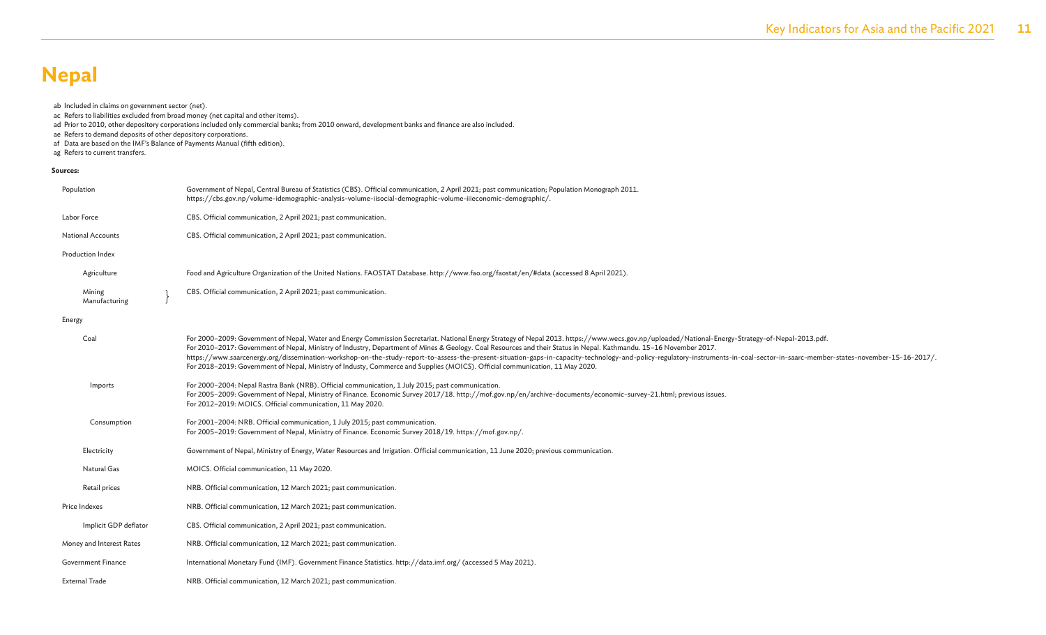#### ab Included in claims on government sector (net).

ac Refers to liabilities excluded from broad money (net capital and other items).

ad Prior to 2010, other depository corporations included only commercial banks; from 2010 onward, development banks and finance are also included.

ae Refers to demand deposits of other depository corporations.

- af Data are based on the IMF's Balance of Payments Manual (fifth edition).
- ag Refers to current transfers.

#### **Sources:**

| Population                | Government of Nepal, Central Bureau of Statistics (CBS). Official communication, 2 April 2021; past communication; Population Monograph 2011.<br>https://cbs.gov.np/volume-idemographic-analysis-volume-iisocial-demographic-volume-iiieconomic-demographic/.                                                                                                                                                                                                                                                                                                                                                                                                                                                                             |
|---------------------------|-------------------------------------------------------------------------------------------------------------------------------------------------------------------------------------------------------------------------------------------------------------------------------------------------------------------------------------------------------------------------------------------------------------------------------------------------------------------------------------------------------------------------------------------------------------------------------------------------------------------------------------------------------------------------------------------------------------------------------------------|
| Labor Force               | CBS. Official communication, 2 April 2021; past communication.                                                                                                                                                                                                                                                                                                                                                                                                                                                                                                                                                                                                                                                                            |
| <b>National Accounts</b>  | CBS. Official communication, 2 April 2021; past communication.                                                                                                                                                                                                                                                                                                                                                                                                                                                                                                                                                                                                                                                                            |
| Production Index          |                                                                                                                                                                                                                                                                                                                                                                                                                                                                                                                                                                                                                                                                                                                                           |
| Agriculture               | Food and Agriculture Organization of the United Nations. FAOSTAT Database. http://www.fao.org/faostat/en/#data (accessed 8 April 2021).                                                                                                                                                                                                                                                                                                                                                                                                                                                                                                                                                                                                   |
| Mining<br>Manufacturing   | CBS. Official communication, 2 April 2021; past communication.                                                                                                                                                                                                                                                                                                                                                                                                                                                                                                                                                                                                                                                                            |
| Energy                    |                                                                                                                                                                                                                                                                                                                                                                                                                                                                                                                                                                                                                                                                                                                                           |
| Coal                      | For 2000-2009: Government of Nepal, Water and Energy Commission Secretariat. National Energy Strategy of Nepal 2013. https://www.wecs.gov.np/uploaded/National-Energy-Strategy-of-Nepal-2013.pdf.<br>For 2010-2017: Government of Nepal, Ministry of Industry, Department of Mines & Geology. Coal Resources and their Status in Nepal. Kathmandu. 15-16 November 2017.<br>https://www.saarcenergy.org/dissemination-workshop-on-the-study-report-to-assess-the-present-situation-gaps-in-capacity-technology-and-policy-regulatory-instruments-in-coal-sector-in-saarc-member-states-november-15-16-2017<br>For 2018-2019: Government of Nepal, Ministry of Industy, Commerce and Supplies (MOICS). Official communication, 11 May 2020. |
| Imports                   | For 2000-2004: Nepal Rastra Bank (NRB). Official communication, 1 July 2015; past communication.<br>For 2005-2009: Government of Nepal, Ministry of Finance. Economic Survey 2017/18. http://mof.gov.np/en/archive-documents/economic-survey-21.html; previous issues.<br>For 2012-2019: MOICS. Official communication, 11 May 2020.                                                                                                                                                                                                                                                                                                                                                                                                      |
| Consumption               | For 2001-2004: NRB. Official communication, 1 July 2015; past communication.<br>For 2005-2019: Government of Nepal, Ministry of Finance. Economic Survey 2018/19. https://mof.gov.np/.                                                                                                                                                                                                                                                                                                                                                                                                                                                                                                                                                    |
| Electricity               | Government of Nepal, Ministry of Energy, Water Resources and Irrigation. Official communication, 11 June 2020; previous communication.                                                                                                                                                                                                                                                                                                                                                                                                                                                                                                                                                                                                    |
| Natural Gas               | MOICS. Official communication, 11 May 2020.                                                                                                                                                                                                                                                                                                                                                                                                                                                                                                                                                                                                                                                                                               |
| Retail prices             | NRB. Official communication, 12 March 2021; past communication.                                                                                                                                                                                                                                                                                                                                                                                                                                                                                                                                                                                                                                                                           |
| Price Indexes             | NRB. Official communication, 12 March 2021; past communication.                                                                                                                                                                                                                                                                                                                                                                                                                                                                                                                                                                                                                                                                           |
| Implicit GDP deflator     | CBS. Official communication, 2 April 2021; past communication.                                                                                                                                                                                                                                                                                                                                                                                                                                                                                                                                                                                                                                                                            |
| Money and Interest Rates  | NRB. Official communication, 12 March 2021; past communication.                                                                                                                                                                                                                                                                                                                                                                                                                                                                                                                                                                                                                                                                           |
| <b>Government Finance</b> | International Monetary Fund (IMF). Government Finance Statistics. http://data.imf.org/ (accessed 5 May 2021).                                                                                                                                                                                                                                                                                                                                                                                                                                                                                                                                                                                                                             |
| <b>External Trade</b>     | NRB. Official communication, 12 March 2021; past communication.                                                                                                                                                                                                                                                                                                                                                                                                                                                                                                                                                                                                                                                                           |